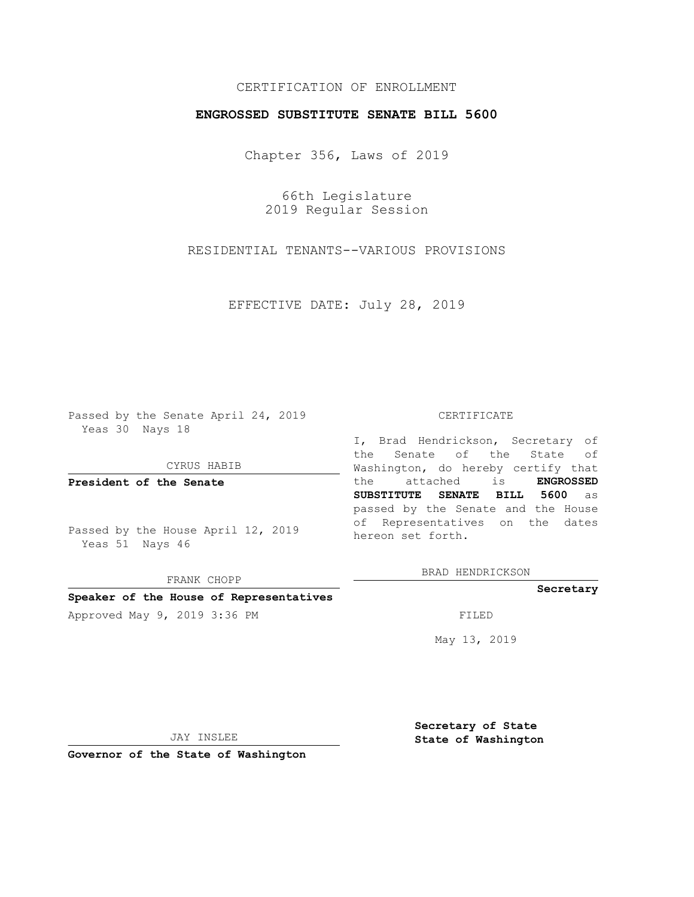#### CERTIFICATION OF ENROLLMENT

#### **ENGROSSED SUBSTITUTE SENATE BILL 5600**

Chapter 356, Laws of 2019

66th Legislature 2019 Regular Session

RESIDENTIAL TENANTS--VARIOUS PROVISIONS

EFFECTIVE DATE: July 28, 2019

Passed by the Senate April 24, 2019 Yeas 30 Nays 18

CYRUS HABIB

**President of the Senate**

Passed by the House April 12, 2019 Yeas 51 Nays 46

FRANK CHOPP

#### **Speaker of the House of Representatives**

Approved May 9, 2019 3:36 PM

#### CERTIFICATE

I, Brad Hendrickson, Secretary of the Senate of the State of Washington, do hereby certify that the attached is **ENGROSSED SUBSTITUTE SENATE BILL 5600** as passed by the Senate and the House of Representatives on the dates hereon set forth.

BRAD HENDRICKSON

#### **Secretary**

May 13, 2019

JAY INSLEE

**Governor of the State of Washington**

**Secretary of State State of Washington**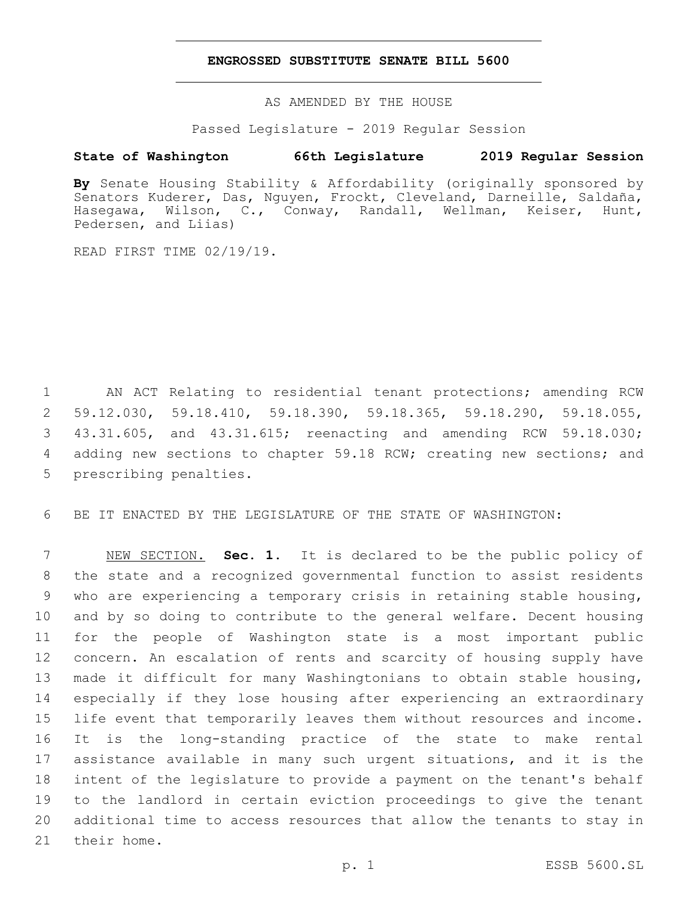#### **ENGROSSED SUBSTITUTE SENATE BILL 5600**

AS AMENDED BY THE HOUSE

Passed Legislature - 2019 Regular Session

### **State of Washington 66th Legislature 2019 Regular Session**

**By** Senate Housing Stability & Affordability (originally sponsored by Senators Kuderer, Das, Nguyen, Frockt, Cleveland, Darneille, Saldaña, Hasegawa, Wilson, C., Conway, Randall, Wellman, Keiser, Hunt, Pedersen, and Liias)

READ FIRST TIME 02/19/19.

 AN ACT Relating to residential tenant protections; amending RCW 59.12.030, 59.18.410, 59.18.390, 59.18.365, 59.18.290, 59.18.055, 43.31.605, and 43.31.615; reenacting and amending RCW 59.18.030; 4 adding new sections to chapter 59.18 RCW; creating new sections; and 5 prescribing penalties.

BE IT ENACTED BY THE LEGISLATURE OF THE STATE OF WASHINGTON:

 NEW SECTION. **Sec. 1.** It is declared to be the public policy of the state and a recognized governmental function to assist residents who are experiencing a temporary crisis in retaining stable housing, and by so doing to contribute to the general welfare. Decent housing for the people of Washington state is a most important public concern. An escalation of rents and scarcity of housing supply have made it difficult for many Washingtonians to obtain stable housing, especially if they lose housing after experiencing an extraordinary life event that temporarily leaves them without resources and income. It is the long-standing practice of the state to make rental assistance available in many such urgent situations, and it is the intent of the legislature to provide a payment on the tenant's behalf to the landlord in certain eviction proceedings to give the tenant additional time to access resources that allow the tenants to stay in their home.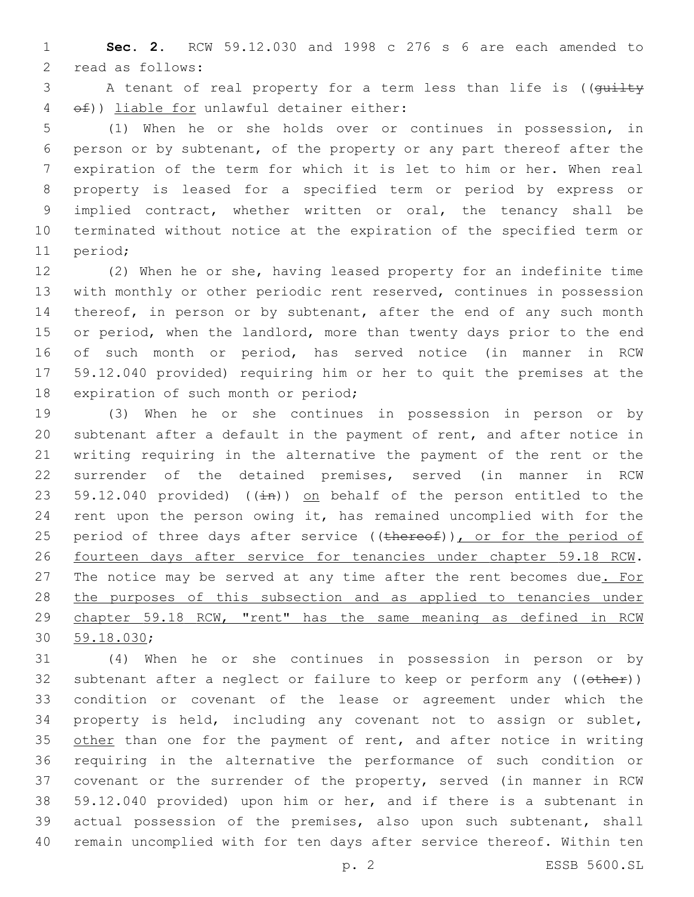**Sec. 2.** RCW 59.12.030 and 1998 c 276 s 6 are each amended to 2 read as follows:

3 A tenant of real property for a term less than life is ((quilty  $\left(4 \quad \right.$  of)) liable for unlawful detainer either:

 (1) When he or she holds over or continues in possession, in person or by subtenant, of the property or any part thereof after the expiration of the term for which it is let to him or her. When real property is leased for a specified term or period by express or implied contract, whether written or oral, the tenancy shall be terminated without notice at the expiration of the specified term or 11 period;

 (2) When he or she, having leased property for an indefinite time with monthly or other periodic rent reserved, continues in possession 14 thereof, in person or by subtenant, after the end of any such month 15 or period, when the landlord, more than twenty days prior to the end of such month or period, has served notice (in manner in RCW 59.12.040 provided) requiring him or her to quit the premises at the 18 expiration of such month or period;

 (3) When he or she continues in possession in person or by subtenant after a default in the payment of rent, and after notice in writing requiring in the alternative the payment of the rent or the surrender of the detained premises, served (in manner in RCW 23 59.12.040 provided) ( $(\pm n)$ ) on behalf of the person entitled to the rent upon the person owing it, has remained uncomplied with for the 25 period of three days after service ((thereof)), or for the period of fourteen days after service for tenancies under chapter 59.18 RCW. 27 The notice may be served at any time after the rent becomes due. For 28 the purposes of this subsection and as applied to tenancies under chapter 59.18 RCW, "rent" has the same meaning as defined in RCW 30 59.18.030;

 (4) When he or she continues in possession in person or by 32 subtenant after a neglect or failure to keep or perform any ((other)) condition or covenant of the lease or agreement under which the property is held, including any covenant not to assign or sublet, 35 other than one for the payment of rent, and after notice in writing requiring in the alternative the performance of such condition or covenant or the surrender of the property, served (in manner in RCW 59.12.040 provided) upon him or her, and if there is a subtenant in actual possession of the premises, also upon such subtenant, shall remain uncomplied with for ten days after service thereof. Within ten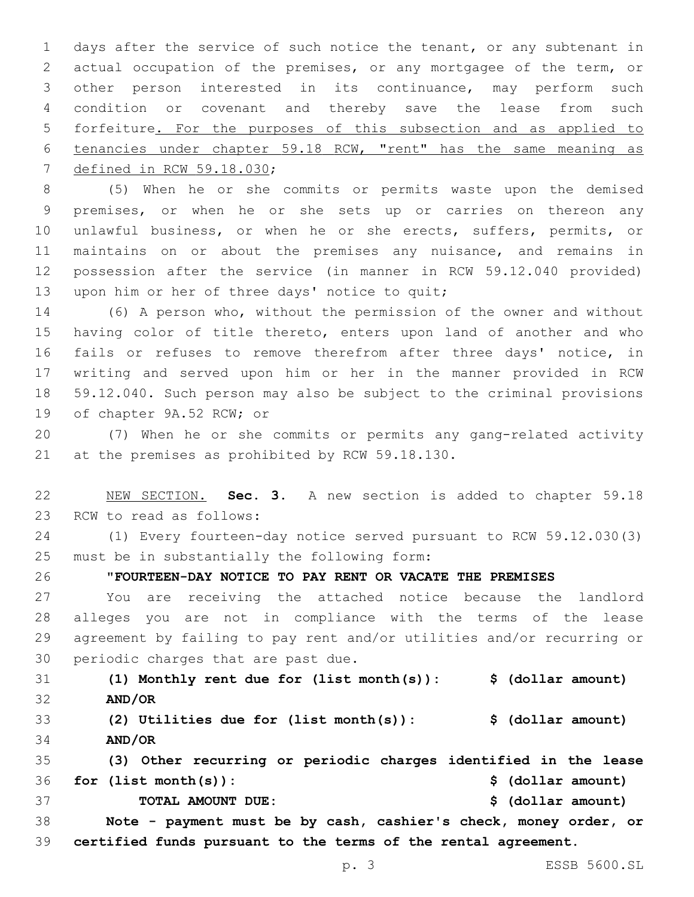days after the service of such notice the tenant, or any subtenant in actual occupation of the premises, or any mortgagee of the term, or other person interested in its continuance, may perform such condition or covenant and thereby save the lease from such forfeiture. For the purposes of this subsection and as applied to tenancies under chapter 59.18 RCW, "rent" has the same meaning as 7 defined in RCW 59.18.030;

 (5) When he or she commits or permits waste upon the demised premises, or when he or she sets up or carries on thereon any unlawful business, or when he or she erects, suffers, permits, or maintains on or about the premises any nuisance, and remains in possession after the service (in manner in RCW 59.12.040 provided) 13 upon him or her of three days' notice to quit;

 (6) A person who, without the permission of the owner and without having color of title thereto, enters upon land of another and who 16 fails or refuses to remove therefrom after three days' notice, in writing and served upon him or her in the manner provided in RCW 59.12.040. Such person may also be subject to the criminal provisions 19 of chapter 9A.52 RCW; or

 (7) When he or she commits or permits any gang-related activity 21 at the premises as prohibited by RCW 59.18.130.

 NEW SECTION. **Sec. 3.** A new section is added to chapter 59.18 23 RCW to read as follows:

 (1) Every fourteen-day notice served pursuant to RCW 59.12.030(3) 25 must be in substantially the following form:

"**FOURTEEN-DAY NOTICE TO PAY RENT OR VACATE THE PREMISES**

 You are receiving the attached notice because the landlord alleges you are not in compliance with the terms of the lease agreement by failing to pay rent and/or utilities and/or recurring or 30 periodic charges that are past due.

 **(1) Monthly rent due for (list month(s)): \$ (dollar amount) AND/OR (2) Utilities due for (list month(s)): \$ (dollar amount)**

**AND/OR**

 **(3) Other recurring or periodic charges identified in the lease for (list month(s)): \$ (dollar amount) TOTAL AMOUNT DUE: \$ (dollar amount)**

 **Note - payment must be by cash, cashier's check, money order, or certified funds pursuant to the terms of the rental agreement.**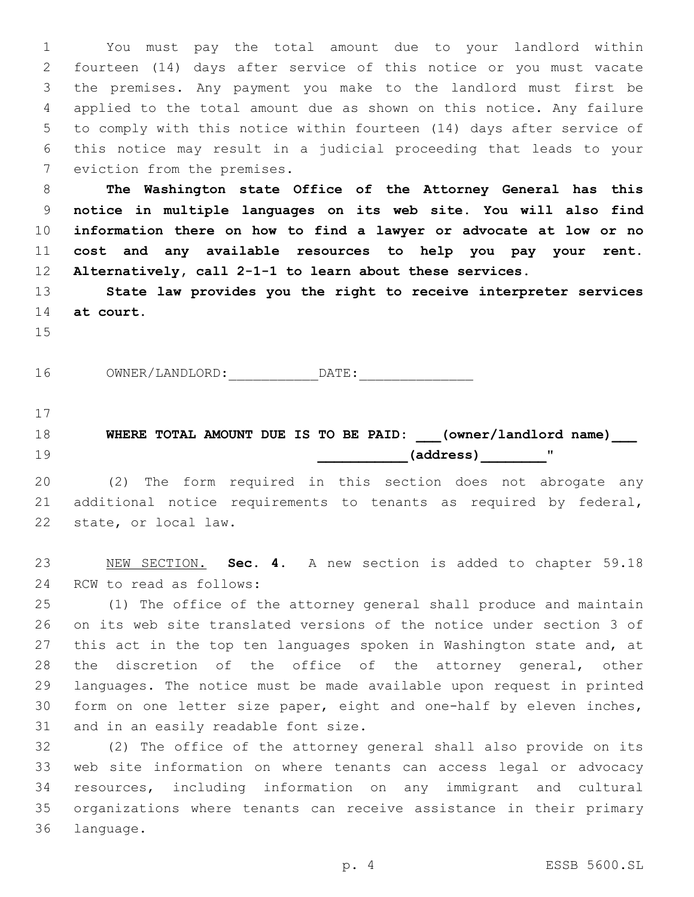You must pay the total amount due to your landlord within fourteen (14) days after service of this notice or you must vacate the premises. Any payment you make to the landlord must first be applied to the total amount due as shown on this notice. Any failure to comply with this notice within fourteen (14) days after service of this notice may result in a judicial proceeding that leads to your 7 eviction from the premises.

 **The Washington state Office of the Attorney General has this notice in multiple languages on its web site. You will also find information there on how to find a lawyer or advocate at low or no cost and any available resources to help you pay your rent. Alternatively, call 2-1-1 to learn about these services.**

 **State law provides you the right to receive interpreter services at court.**

16 OWNER/LANDLORD: DATE:

 **WHERE TOTAL AMOUNT DUE IS TO BE PAID: \_\_\_(owner/landlord name)\_\_\_ ... (address) ... (** 

 (2) The form required in this section does not abrogate any additional notice requirements to tenants as required by federal, 22 state, or local law.

 NEW SECTION. **Sec. 4.** A new section is added to chapter 59.18 24 RCW to read as follows:

 (1) The office of the attorney general shall produce and maintain on its web site translated versions of the notice under section 3 of 27 this act in the top ten languages spoken in Washington state and, at the discretion of the office of the attorney general, other languages. The notice must be made available upon request in printed form on one letter size paper, eight and one-half by eleven inches, 31 and in an easily readable font size.

 (2) The office of the attorney general shall also provide on its web site information on where tenants can access legal or advocacy resources, including information on any immigrant and cultural organizations where tenants can receive assistance in their primary 36 language.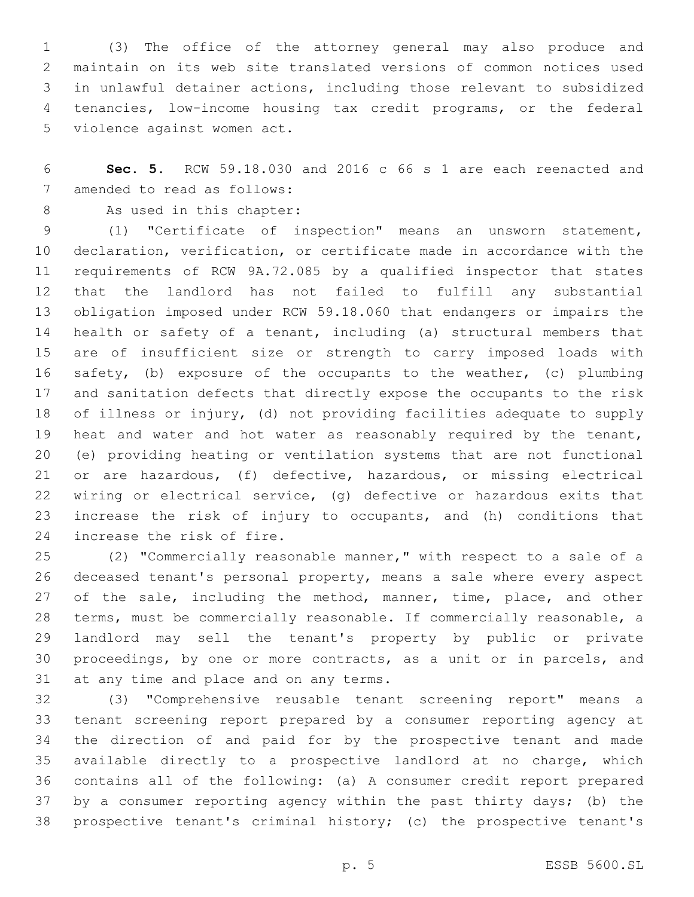(3) The office of the attorney general may also produce and maintain on its web site translated versions of common notices used in unlawful detainer actions, including those relevant to subsidized tenancies, low-income housing tax credit programs, or the federal 5 violence against women act.

 **Sec. 5.** RCW 59.18.030 and 2016 c 66 s 1 are each reenacted and 7 amended to read as follows:

8 As used in this chapter:

 (1) "Certificate of inspection" means an unsworn statement, declaration, verification, or certificate made in accordance with the requirements of RCW 9A.72.085 by a qualified inspector that states that the landlord has not failed to fulfill any substantial obligation imposed under RCW 59.18.060 that endangers or impairs the health or safety of a tenant, including (a) structural members that are of insufficient size or strength to carry imposed loads with safety, (b) exposure of the occupants to the weather, (c) plumbing and sanitation defects that directly expose the occupants to the risk of illness or injury, (d) not providing facilities adequate to supply heat and water and hot water as reasonably required by the tenant, (e) providing heating or ventilation systems that are not functional or are hazardous, (f) defective, hazardous, or missing electrical wiring or electrical service, (g) defective or hazardous exits that increase the risk of injury to occupants, and (h) conditions that 24 increase the risk of fire.

 (2) "Commercially reasonable manner," with respect to a sale of a deceased tenant's personal property, means a sale where every aspect 27 of the sale, including the method, manner, time, place, and other terms, must be commercially reasonable. If commercially reasonable, a landlord may sell the tenant's property by public or private proceedings, by one or more contracts, as a unit or in parcels, and 31 at any time and place and on any terms.

 (3) "Comprehensive reusable tenant screening report" means a tenant screening report prepared by a consumer reporting agency at the direction of and paid for by the prospective tenant and made available directly to a prospective landlord at no charge, which contains all of the following: (a) A consumer credit report prepared by a consumer reporting agency within the past thirty days; (b) the prospective tenant's criminal history; (c) the prospective tenant's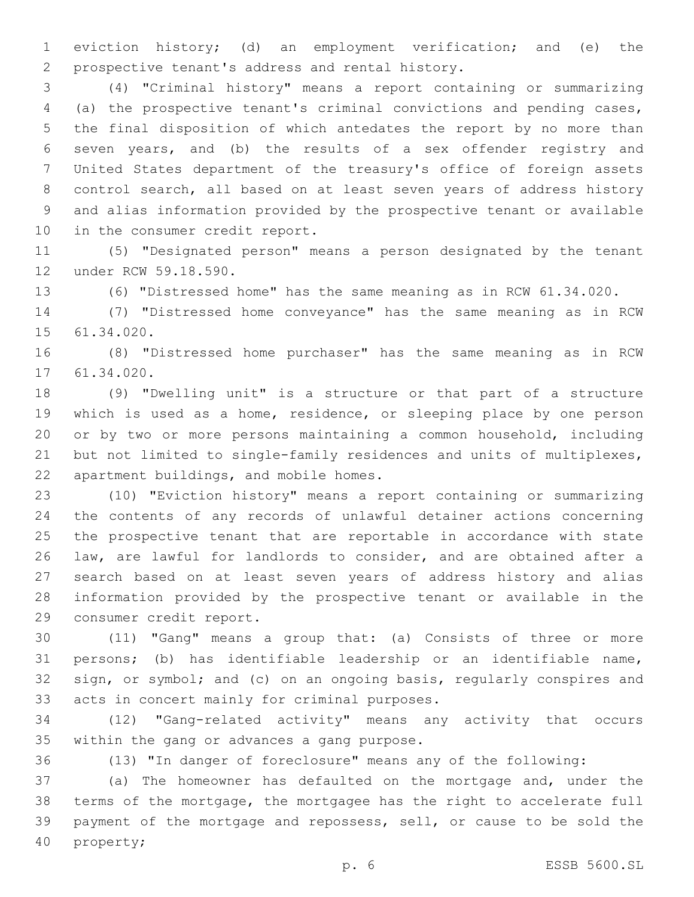eviction history; (d) an employment verification; and (e) the 2 prospective tenant's address and rental history.

 (4) "Criminal history" means a report containing or summarizing (a) the prospective tenant's criminal convictions and pending cases, the final disposition of which antedates the report by no more than seven years, and (b) the results of a sex offender registry and United States department of the treasury's office of foreign assets control search, all based on at least seven years of address history and alias information provided by the prospective tenant or available 10 in the consumer credit report.

 (5) "Designated person" means a person designated by the tenant 12 under RCW 59.18.590.

(6) "Distressed home" has the same meaning as in RCW 61.34.020.

 (7) "Distressed home conveyance" has the same meaning as in RCW 15 61.34.020.

 (8) "Distressed home purchaser" has the same meaning as in RCW 17 61.34.020.

 (9) "Dwelling unit" is a structure or that part of a structure which is used as a home, residence, or sleeping place by one person or by two or more persons maintaining a common household, including but not limited to single-family residences and units of multiplexes, 22 apartment buildings, and mobile homes.

 (10) "Eviction history" means a report containing or summarizing the contents of any records of unlawful detainer actions concerning the prospective tenant that are reportable in accordance with state law, are lawful for landlords to consider, and are obtained after a search based on at least seven years of address history and alias information provided by the prospective tenant or available in the 29 consumer credit report.

 (11) "Gang" means a group that: (a) Consists of three or more persons; (b) has identifiable leadership or an identifiable name, sign, or symbol; and (c) on an ongoing basis, regularly conspires and 33 acts in concert mainly for criminal purposes.

 (12) "Gang-related activity" means any activity that occurs 35 within the gang or advances a gang purpose.

(13) "In danger of foreclosure" means any of the following:

 (a) The homeowner has defaulted on the mortgage and, under the terms of the mortgage, the mortgagee has the right to accelerate full payment of the mortgage and repossess, sell, or cause to be sold the 40 property;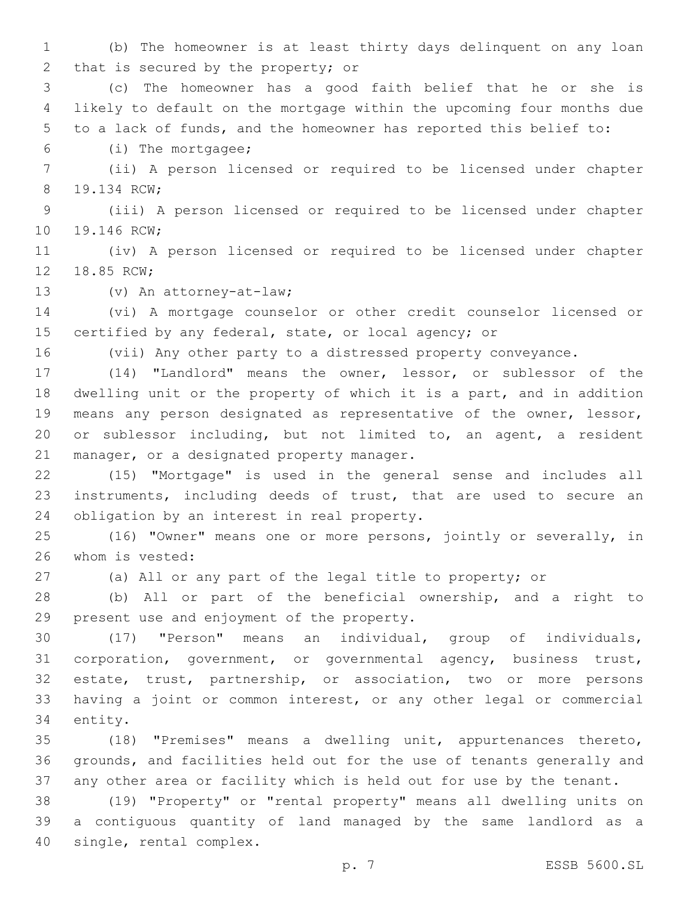(b) The homeowner is at least thirty days delinquent on any loan 2 that is secured by the property; or

 (c) The homeowner has a good faith belief that he or she is likely to default on the mortgage within the upcoming four months due to a lack of funds, and the homeowner has reported this belief to:

(i) The mortgagee;6

 (ii) A person licensed or required to be licensed under chapter 8 19.134 RCW;

 (iii) A person licensed or required to be licensed under chapter 10 19.146 RCW;

 (iv) A person licensed or required to be licensed under chapter 12 18.85 RCW;

13 (v) An attorney-at-law;

 (vi) A mortgage counselor or other credit counselor licensed or certified by any federal, state, or local agency; or

(vii) Any other party to a distressed property conveyance.

 (14) "Landlord" means the owner, lessor, or sublessor of the dwelling unit or the property of which it is a part, and in addition means any person designated as representative of the owner, lessor, or sublessor including, but not limited to, an agent, a resident 21 manager, or a designated property manager.

 (15) "Mortgage" is used in the general sense and includes all instruments, including deeds of trust, that are used to secure an 24 obligation by an interest in real property.

 (16) "Owner" means one or more persons, jointly or severally, in 26 whom is vested:

(a) All or any part of the legal title to property; or

 (b) All or part of the beneficial ownership, and a right to 29 present use and enjoyment of the property.

 (17) "Person" means an individual, group of individuals, corporation, government, or governmental agency, business trust, estate, trust, partnership, or association, two or more persons having a joint or common interest, or any other legal or commercial 34 entity.

 (18) "Premises" means a dwelling unit, appurtenances thereto, grounds, and facilities held out for the use of tenants generally and any other area or facility which is held out for use by the tenant.

 (19) "Property" or "rental property" means all dwelling units on a contiguous quantity of land managed by the same landlord as a 40 single, rental complex.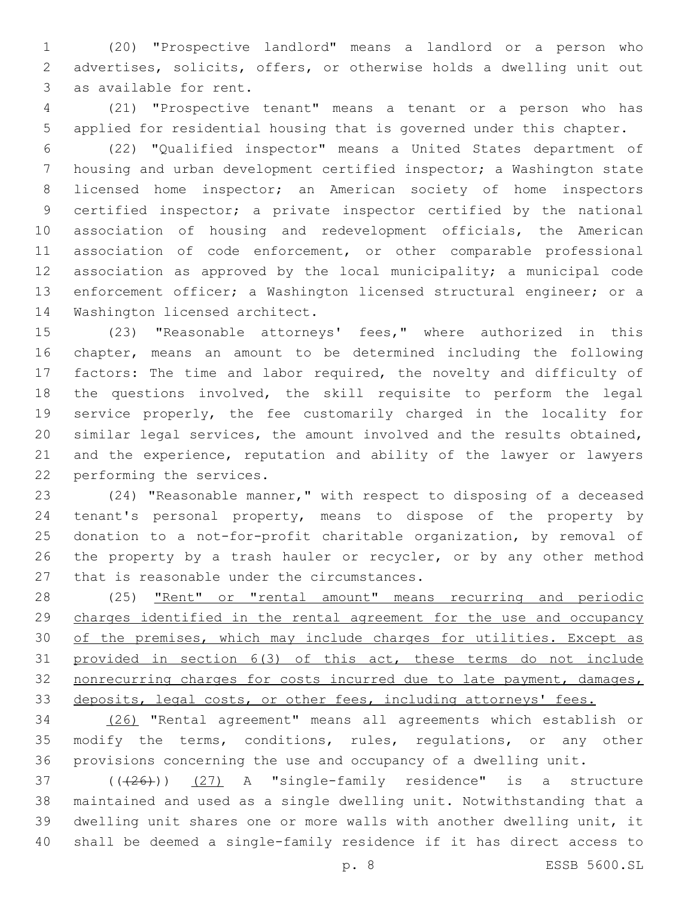(20) "Prospective landlord" means a landlord or a person who advertises, solicits, offers, or otherwise holds a dwelling unit out 3 as available for rent.

 (21) "Prospective tenant" means a tenant or a person who has applied for residential housing that is governed under this chapter.

 (22) "Qualified inspector" means a United States department of housing and urban development certified inspector; a Washington state licensed home inspector; an American society of home inspectors certified inspector; a private inspector certified by the national association of housing and redevelopment officials, the American 11 association of code enforcement, or other comparable professional association as approved by the local municipality; a municipal code enforcement officer; a Washington licensed structural engineer; or a 14 Washington licensed architect.

 (23) "Reasonable attorneys' fees," where authorized in this chapter, means an amount to be determined including the following factors: The time and labor required, the novelty and difficulty of the questions involved, the skill requisite to perform the legal service properly, the fee customarily charged in the locality for similar legal services, the amount involved and the results obtained, and the experience, reputation and ability of the lawyer or lawyers 22 performing the services.

 (24) "Reasonable manner," with respect to disposing of a deceased tenant's personal property, means to dispose of the property by donation to a not-for-profit charitable organization, by removal of the property by a trash hauler or recycler, or by any other method 27 that is reasonable under the circumstances.

28 (25) "Rent" or "rental amount" means recurring and periodic charges identified in the rental agreement for the use and occupancy 30 of the premises, which may include charges for utilities. Except as provided in section 6(3) of this act, these terms do not include 32 nonrecurring charges for costs incurred due to late payment, damages, deposits, legal costs, or other fees, including attorneys' fees.

 (26) "Rental agreement" means all agreements which establish or modify the terms, conditions, rules, regulations, or any other provisions concerning the use and occupancy of a dwelling unit.

 $(1+26)$ )  $(27)$  A "single-family residence" is a structure maintained and used as a single dwelling unit. Notwithstanding that a dwelling unit shares one or more walls with another dwelling unit, it shall be deemed a single-family residence if it has direct access to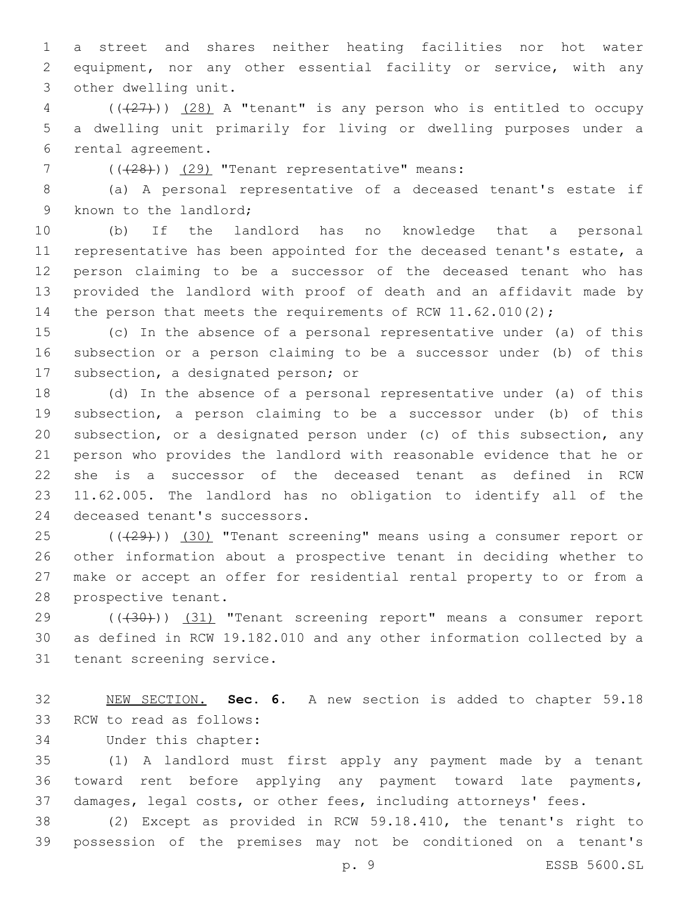a street and shares neither heating facilities nor hot water equipment, nor any other essential facility or service, with any 3 other dwelling unit.

 ( $(\overline{27})$ )  $(28)$  A "tenant" is any person who is entitled to occupy a dwelling unit primarily for living or dwelling purposes under a 6 rental agreement.

 $(1)(128)$ ) (29) "Tenant representative" means:

 (a) A personal representative of a deceased tenant's estate if 9 known to the landlord;

 (b) If the landlord has no knowledge that a personal representative has been appointed for the deceased tenant's estate, a person claiming to be a successor of the deceased tenant who has provided the landlord with proof of death and an affidavit made by 14 the person that meets the requirements of RCW 11.62.010(2);

 (c) In the absence of a personal representative under (a) of this subsection or a person claiming to be a successor under (b) of this 17 subsection, a designated person; or

 (d) In the absence of a personal representative under (a) of this subsection, a person claiming to be a successor under (b) of this subsection, or a designated person under (c) of this subsection, any person who provides the landlord with reasonable evidence that he or she is a successor of the deceased tenant as defined in RCW 11.62.005. The landlord has no obligation to identify all of the 24 deceased tenant's successors.

25 (( $(29)$ )) (30) "Tenant screening" means using a consumer report or other information about a prospective tenant in deciding whether to make or accept an offer for residential rental property to or from a 28 prospective tenant.

29 (((30))) (31) "Tenant screening report" means a consumer report as defined in RCW 19.182.010 and any other information collected by a 31 tenant screening service.

 NEW SECTION. **Sec. 6.** A new section is added to chapter 59.18 33 RCW to read as follows:

34 Under this chapter:

 (1) A landlord must first apply any payment made by a tenant toward rent before applying any payment toward late payments, damages, legal costs, or other fees, including attorneys' fees.

 (2) Except as provided in RCW 59.18.410, the tenant's right to possession of the premises may not be conditioned on a tenant's

p. 9 ESSB 5600.SL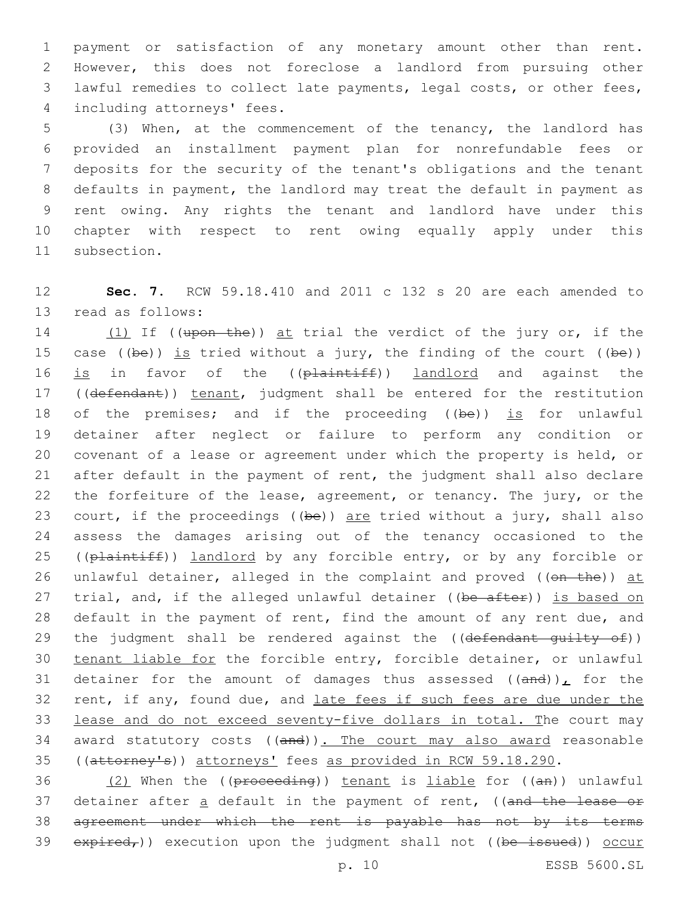payment or satisfaction of any monetary amount other than rent. However, this does not foreclose a landlord from pursuing other lawful remedies to collect late payments, legal costs, or other fees, 4 including attorneys' fees.

 (3) When, at the commencement of the tenancy, the landlord has provided an installment payment plan for nonrefundable fees or deposits for the security of the tenant's obligations and the tenant defaults in payment, the landlord may treat the default in payment as rent owing. Any rights the tenant and landlord have under this chapter with respect to rent owing equally apply under this 11 subsection.

12 **Sec. 7.** RCW 59.18.410 and 2011 c 132 s 20 are each amended to 13 read as follows:

14 (1) If ((upon the)) at trial the verdict of the jury or, if the 15 case ((be)) is tried without a jury, the finding of the court ((be)) 16 is in favor of the ((plaintiff)) landlord and against the 17 ((defendant)) tenant, judgment shall be entered for the restitution 18 of the premises; and if the proceeding ((be)) is for unlawful 19 detainer after neglect or failure to perform any condition or 20 covenant of a lease or agreement under which the property is held, or 21 after default in the payment of rent, the judgment shall also declare 22 the forfeiture of the lease, agreement, or tenancy. The jury, or the 23 court, if the proceedings ((be)) are tried without a jury, shall also 24 assess the damages arising out of the tenancy occasioned to the 25 ((plaintiff)) landlord by any forcible entry, or by any forcible or 26 unlawful detainer, alleged in the complaint and proved ((on the)) at 27 trial, and, if the alleged unlawful detainer ((be after)) is based on 28 default in the payment of rent, find the amount of any rent due, and 29 the judgment shall be rendered against the ((defendant quilty of)) 30 tenant liable for the forcible entry, forcible detainer, or unlawful 31 detainer for the amount of damages thus assessed  $((and))_{L}$  for the 32 rent, if any, found due, and late fees if such fees are due under the 33 lease and do not exceed seventy-five dollars in total. The court may 34 award statutory costs ((and)). The court may also award reasonable 35 ((attorney's)) attorneys' fees as provided in RCW 59.18.290.

 $(2)$  When the ((proceeding)) tenant is liable for ((an)) unlawful 37 detainer after a default in the payment of rent, ((and the lease or agreement under which the rent is payable has not by its terms  $expired<sub>r</sub>)$ ) execution upon the judgment shall not ((be issued)) occur

p. 10 ESSB 5600.SL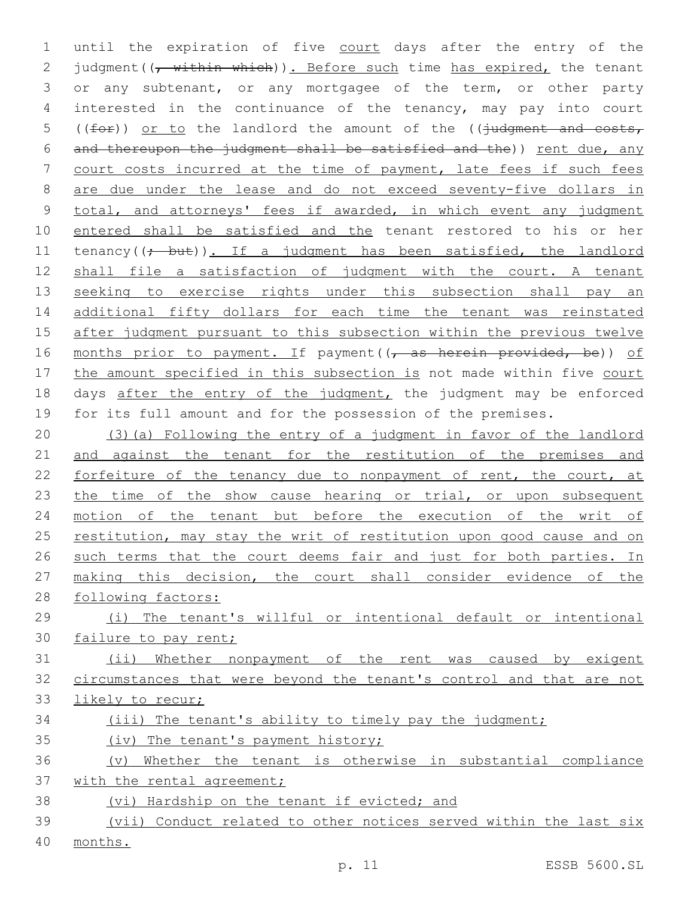1 until the expiration of five court days after the entry of the 2 judgment( $\frac{1}{r}$  within which)). Before such time has expired, the tenant 3 or any subtenant, or any mortgagee of the term, or other party 4 interested in the continuance of the tenancy, may pay into court 5 ( $(for)$ ) or to the landlord the amount of the ( $(judgment$  and costs, 6 and thereupon the judgment shall be satisfied and the)) rent due, any 7 court costs incurred at the time of payment, late fees if such fees 8 are due under the lease and do not exceed seventy-five dollars in 9 total, and attorneys' fees if awarded, in which event any judgment 10 entered shall be satisfied and the tenant restored to his or her 11 tenancy( $(\frac{1}{t} - \frac{b}{t})$ . If a judgment has been satisfied, the landlord 12 shall file a satisfaction of judgment with the court. A tenant 13 seeking to exercise rights under this subsection shall pay an 14 additional fifty dollars for each time the tenant was reinstated 15 after judgment pursuant to this subsection within the previous twelve 16 months prior to payment. If payment ((, as herein provided, be)) of 17 the amount specified in this subsection is not made within five court 18 days after the entry of the judgment, the judgment may be enforced 19 for its full amount and for the possession of the premises.

20 (3)(a) Following the entry of a judgment in favor of the landlord 21 and against the tenant for the restitution of the premises and 22 forfeiture of the tenancy due to nonpayment of rent, the court, at 23 the time of the show cause hearing or trial, or upon subsequent 24 motion of the tenant but before the execution of the writ of 25 restitution, may stay the writ of restitution upon good cause and on 26 such terms that the court deems fair and just for both parties. In 27 making this decision, the court shall consider evidence of the 28 following factors:

29 (i) The tenant's willful or intentional default or intentional 30 failure to pay rent;

31 (ii) Whether nonpayment of the rent was caused by exigent 32 circumstances that were beyond the tenant's control and that are not 33 likely to recur;

## 34 (iii) The tenant's ability to timely pay the judgment;

35 (iv) The tenant's payment history;

# 36 (v) Whether the tenant is otherwise in substantial compliance 37 with the rental agreement;

38 (vi) Hardship on the tenant if evicted; and

39 (vii) Conduct related to other notices served within the last six 40 months.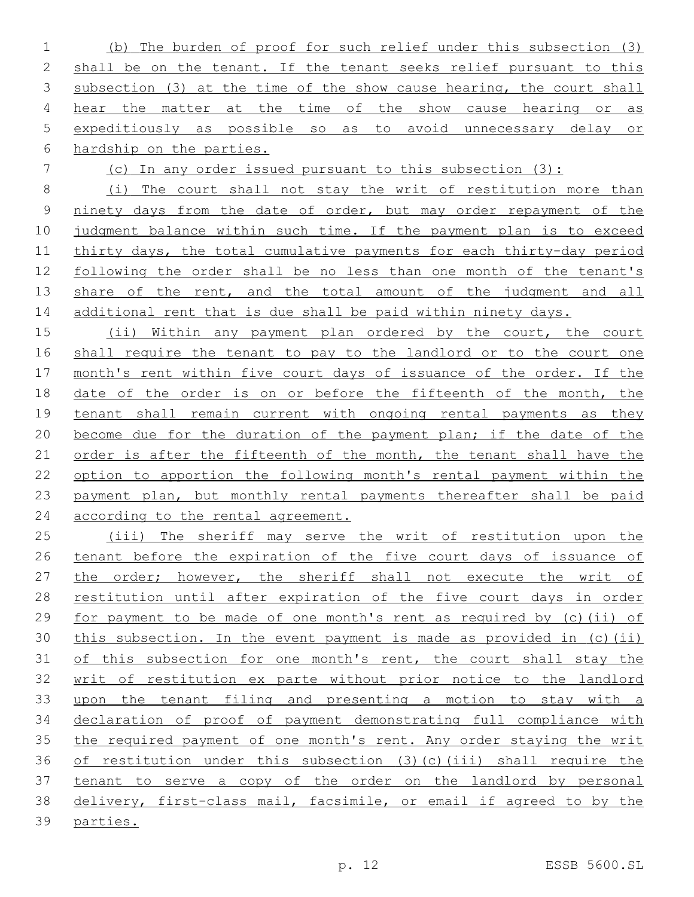(b) The burden of proof for such relief under this subsection (3) shall be on the tenant. If the tenant seeks relief pursuant to this 3 subsection (3) at the time of the show cause hearing, the court shall hear the matter at the time of the show cause hearing or as expeditiously as possible so as to avoid unnecessary delay or hardship on the parties.

(c) In any order issued pursuant to this subsection (3):

 (i) The court shall not stay the writ of restitution more than ninety days from the date of order, but may order repayment of the judgment balance within such time. If the payment plan is to exceed thirty days, the total cumulative payments for each thirty-day period following the order shall be no less than one month of the tenant's 13 share of the rent, and the total amount of the judgment and all 14 additional rent that is due shall be paid within ninety days.

15 (ii) Within any payment plan ordered by the court, the court shall require the tenant to pay to the landlord or to the court one month's rent within five court days of issuance of the order. If the 18 date of the order is on or before the fifteenth of the month, the tenant shall remain current with ongoing rental payments as they become due for the duration of the payment plan; if the date of the 21 order is after the fifteenth of the month, the tenant shall have the option to apportion the following month's rental payment within the payment plan, but monthly rental payments thereafter shall be paid according to the rental agreement.

 (iii) The sheriff may serve the writ of restitution upon the tenant before the expiration of the five court days of issuance of the order; however, the sheriff shall not execute the writ of restitution until after expiration of the five court days in order for payment to be made of one month's rent as required by (c)(ii) of this subsection. In the event payment is made as provided in (c)(ii) 31 of this subsection for one month's rent, the court shall stay the writ of restitution ex parte without prior notice to the landlord upon the tenant filing and presenting a motion to stay with a declaration of proof of payment demonstrating full compliance with the required payment of one month's rent. Any order staying the writ of restitution under this subsection (3)(c)(iii) shall require the tenant to serve a copy of the order on the landlord by personal delivery, first-class mail, facsimile, or email if agreed to by the parties.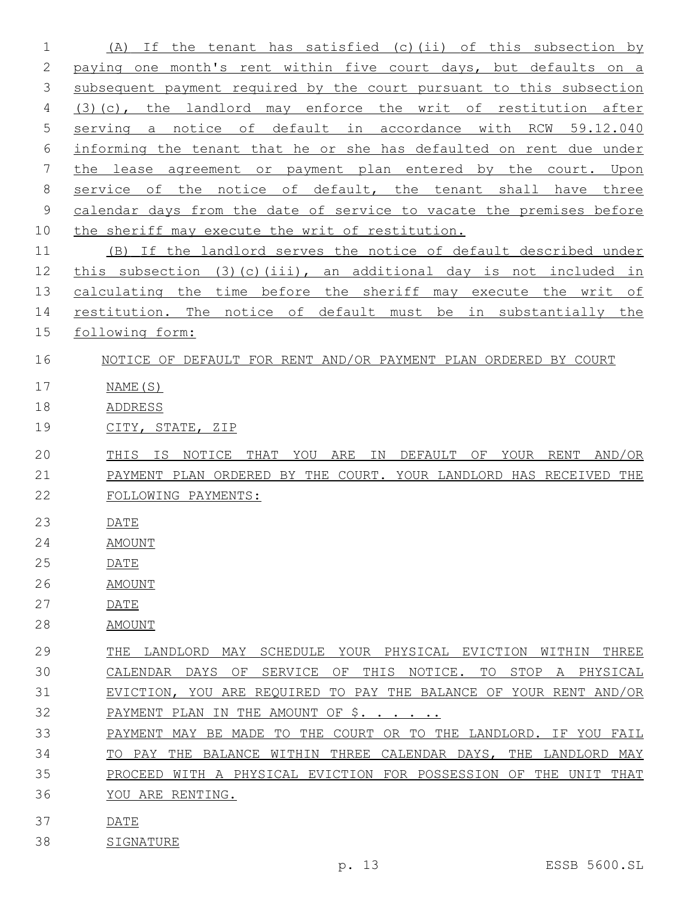(A) If the tenant has satisfied (c)(ii) of this subsection by 2 paying one month's rent within five court days, but defaults on a subsequent payment required by the court pursuant to this subsection (3)(c), the landlord may enforce the writ of restitution after 5 serving a notice of default in accordance with RCW 59.12.040 informing the tenant that he or she has defaulted on rent due under the lease agreement or payment plan entered by the court. Upon 8 service of the notice of default, the tenant shall have three calendar days from the date of service to vacate the premises before the sheriff may execute the writ of restitution. (B) If the landlord serves the notice of default described under this subsection (3)(c)(iii), an additional day is not included in 13 calculating the time before the sheriff may execute the writ of 14 restitution. The notice of default must be in substantially the following form: NOTICE OF DEFAULT FOR RENT AND/OR PAYMENT PLAN ORDERED BY COURT NAME(S) ADDRESS CITY, STATE, ZIP THIS IS NOTICE THAT YOU ARE IN DEFAULT OF YOUR RENT AND/OR PAYMENT PLAN ORDERED BY THE COURT. YOUR LANDLORD HAS RECEIVED THE FOLLOWING PAYMENTS: DATE AMOUNT DATE AMOUNT DATE AMOUNT THE LANDLORD MAY SCHEDULE YOUR PHYSICAL EVICTION WITHIN THREE CALENDAR DAYS OF SERVICE OF THIS NOTICE. TO STOP A PHYSICAL EVICTION, YOU ARE REQUIRED TO PAY THE BALANCE OF YOUR RENT AND/OR 32 PAYMENT PLAN IN THE AMOUNT OF \$. . . . . . PAYMENT MAY BE MADE TO THE COURT OR TO THE LANDLORD. IF YOU FAIL TO PAY THE BALANCE WITHIN THREE CALENDAR DAYS, THE LANDLORD MAY PROCEED WITH A PHYSICAL EVICTION FOR POSSESSION OF THE UNIT THAT YOU ARE RENTING. DATE

- SIGNATURE
	-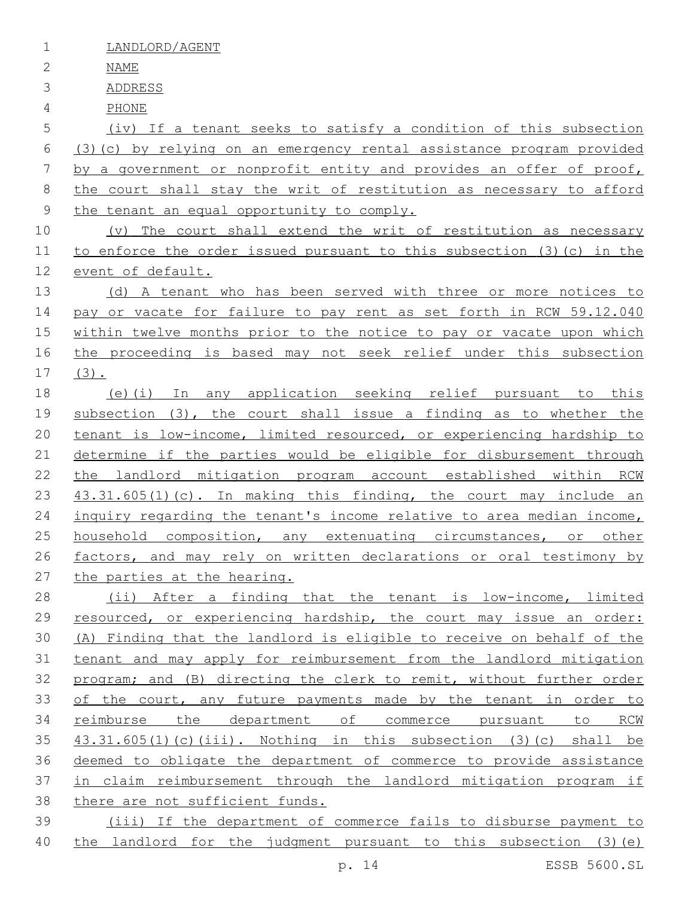LANDLORD/AGENT

NAME

ADDRESS

PHONE

 (iv) If a tenant seeks to satisfy a condition of this subsection (3)(c) by relying on an emergency rental assistance program provided by a government or nonprofit entity and provides an offer of proof, the court shall stay the writ of restitution as necessary to afford 9 the tenant an equal opportunity to comply.

 (v) The court shall extend the writ of restitution as necessary to enforce the order issued pursuant to this subsection (3)(c) in the event of default.

13 (d) A tenant who has been served with three or more notices to 14 pay or vacate for failure to pay rent as set forth in RCW 59.12.040 within twelve months prior to the notice to pay or vacate upon which the proceeding is based may not seek relief under this subsection (3).

 (e)(i) In any application seeking relief pursuant to this subsection (3), the court shall issue a finding as to whether the 20 tenant is low-income, limited resourced, or experiencing hardship to determine if the parties would be eligible for disbursement through the landlord mitigation program account established within RCW 23 43.31.605(1)(c). In making this finding, the court may include an inquiry regarding the tenant's income relative to area median income, 25 household composition, any extenuating circumstances, or other factors, and may rely on written declarations or oral testimony by the parties at the hearing.

 (ii) After a finding that the tenant is low-income, limited resourced, or experiencing hardship, the court may issue an order: (A) Finding that the landlord is eligible to receive on behalf of the tenant and may apply for reimbursement from the landlord mitigation program; and (B) directing the clerk to remit, without further order 33 of the court, any future payments made by the tenant in order to reimburse the department of commerce pursuant to RCW  $43.31.605(1)$  (c)(iii). Nothing in this subsection (3)(c) shall be deemed to obligate the department of commerce to provide assistance in claim reimbursement through the landlord mitigation program if there are not sufficient funds.

 (iii) If the department of commerce fails to disburse payment to the landlord for the judgment pursuant to this subsection (3)(e)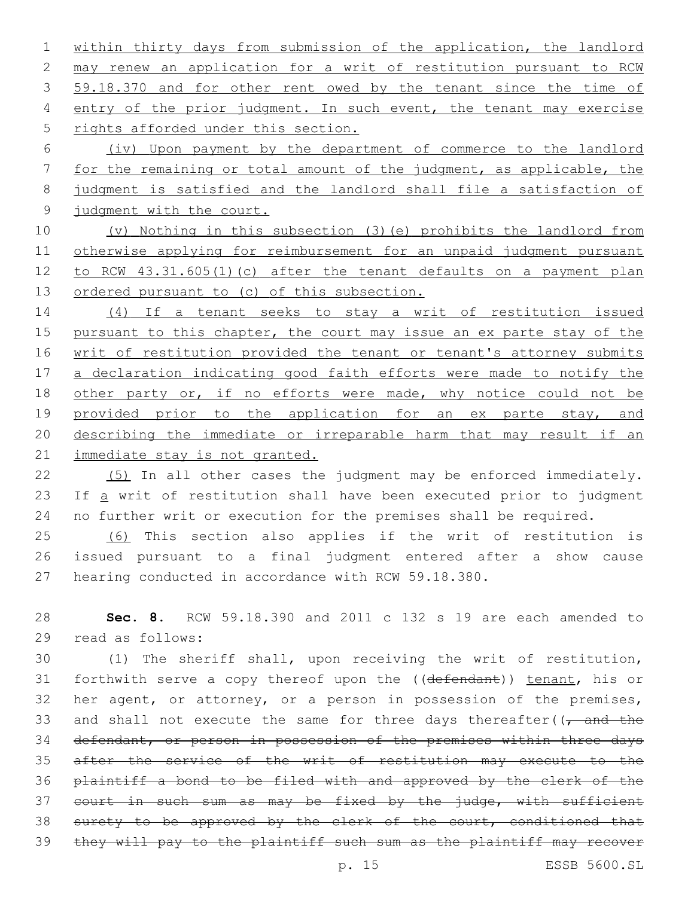1 within thirty days from submission of the application, the landlord 2 may renew an application for a writ of restitution pursuant to RCW 3 59.18.370 and for other rent owed by the tenant since the time of 4 entry of the prior judgment. In such event, the tenant may exercise 5 rights afforded under this section.

 (iv) Upon payment by the department of commerce to the landlord for the remaining or total amount of the judgment, as applicable, the judgment is satisfied and the landlord shall file a satisfaction of 9 judgment with the court.

10 (v) Nothing in this subsection (3)(e) prohibits the landlord from 11 otherwise applying for reimbursement for an unpaid judgment pursuant 12 to RCW 43.31.605(1)(c) after the tenant defaults on a payment plan 13 ordered pursuant to (c) of this subsection.

14 (4) If a tenant seeks to stay a writ of restitution issued 15 pursuant to this chapter, the court may issue an ex parte stay of the 16 writ of restitution provided the tenant or tenant's attorney submits 17 a declaration indicating good faith efforts were made to notify the 18 other party or, if no efforts were made, why notice could not be 19 provided prior to the application for an ex parte stay, and 20 describing the immediate or irreparable harm that may result if an 21 immediate stay is not granted.

22 (5) In all other cases the judgment may be enforced immediately. 23 If a writ of restitution shall have been executed prior to judgment 24 no further writ or execution for the premises shall be required.

25 (6) This section also applies if the writ of restitution is 26 issued pursuant to a final judgment entered after a show cause 27 hearing conducted in accordance with RCW 59.18.380.

28 **Sec. 8.** RCW 59.18.390 and 2011 c 132 s 19 are each amended to read as follows:29

30 (1) The sheriff shall, upon receiving the writ of restitution, 31 forthwith serve a copy thereof upon the ((defendant)) tenant, his or 32 her agent, or attorney, or a person in possession of the premises, 33 and shall not execute the same for three days thereafter( $\sqrt{t}$  and the 34 defendant, or person in possession of the premises within three days 35 after the service of the writ of restitution may execute to the 36 plaintiff a bond to be filed with and approved by the clerk of the 37 court in such sum as may be fixed by the judge, with sufficient 38 surety to be approved by the clerk of the court, conditioned that 39 they will pay to the plaintiff such sum as the plaintiff may recover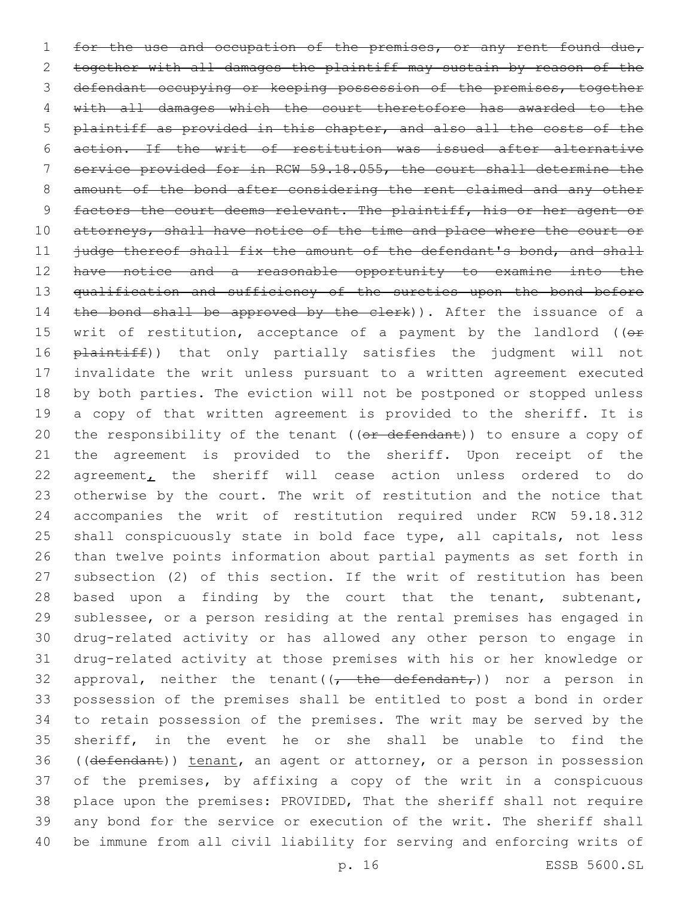1 for the use and occupation of the premises, or any rent found due, together with all damages the plaintiff may sustain by reason of the defendant occupying or keeping possession of the premises, together with all damages which the court theretofore has awarded to the plaintiff as provided in this chapter, and also all the costs of the action. If the writ of restitution was issued after alternative service provided for in RCW 59.18.055, the court shall determine the 8 amount of the bond after considering the rent claimed and any other 9 factors the court deems relevant. The plaintiff, his or her agent or 10 attorneys, shall have notice of the time and place where the court or 11 judge thereof shall fix the amount of the defendant's bond, and shall 12 have notice and a reasonable opportunity to examine into the 13 qualification and sufficiency of the sureties upon the bond before 14 the bond shall be approved by the clerk)). After the issuance of a 15 writ of restitution, acceptance of a payment by the landlord ( $(e<sup>F</sup>)$ 16 plaintiff)) that only partially satisfies the judgment will not invalidate the writ unless pursuant to a written agreement executed by both parties. The eviction will not be postponed or stopped unless a copy of that written agreement is provided to the sheriff. It is 20 the responsibility of the tenant ( $(\overline{or}$  defendant)) to ensure a copy of the agreement is provided to the sheriff. Upon receipt of the agreement, the sheriff will cease action unless ordered to do otherwise by the court. The writ of restitution and the notice that accompanies the writ of restitution required under RCW 59.18.312 25 shall conspicuously state in bold face type, all capitals, not less than twelve points information about partial payments as set forth in subsection (2) of this section. If the writ of restitution has been 28 based upon a finding by the court that the tenant, subtenant, sublessee, or a person residing at the rental premises has engaged in drug-related activity or has allowed any other person to engage in drug-related activity at those premises with his or her knowledge or 32 approval, neither the tenant( $\left(\frac{1}{t} + \frac{1}{t} + \frac{1}{t} + \frac{1}{t} + \frac{1}{t}\right)$  nor a person in possession of the premises shall be entitled to post a bond in order to retain possession of the premises. The writ may be served by the sheriff, in the event he or she shall be unable to find the 36 ((defendant)) tenant, an agent or attorney, or a person in possession of the premises, by affixing a copy of the writ in a conspicuous place upon the premises: PROVIDED, That the sheriff shall not require any bond for the service or execution of the writ. The sheriff shall be immune from all civil liability for serving and enforcing writs of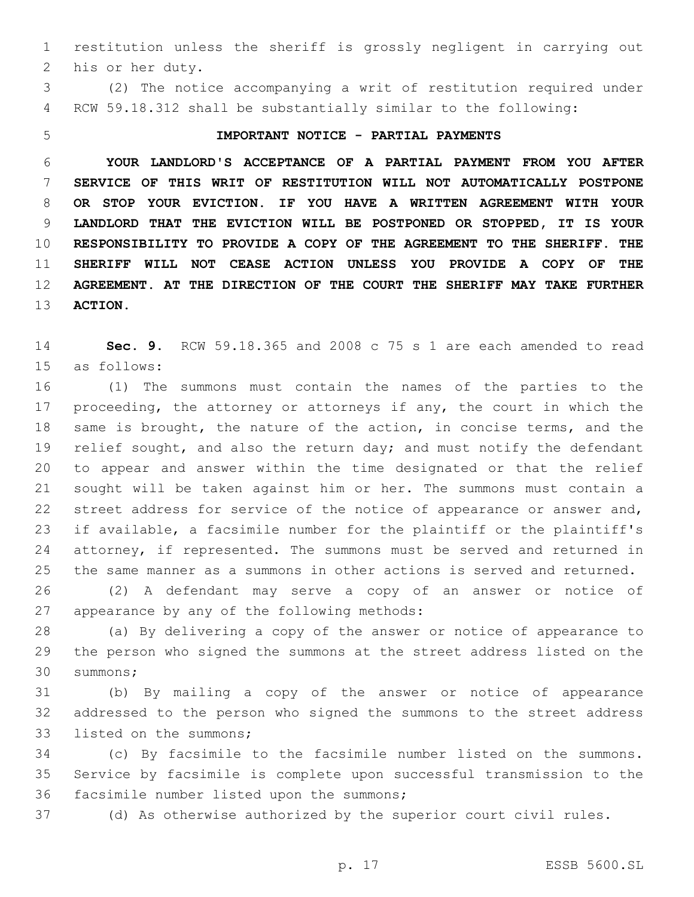restitution unless the sheriff is grossly negligent in carrying out 2 his or her duty.

 (2) The notice accompanying a writ of restitution required under RCW 59.18.312 shall be substantially similar to the following:

## **IMPORTANT NOTICE - PARTIAL PAYMENTS**

 **YOUR LANDLORD'S ACCEPTANCE OF A PARTIAL PAYMENT FROM YOU AFTER SERVICE OF THIS WRIT OF RESTITUTION WILL NOT AUTOMATICALLY POSTPONE OR STOP YOUR EVICTION. IF YOU HAVE A WRITTEN AGREEMENT WITH YOUR LANDLORD THAT THE EVICTION WILL BE POSTPONED OR STOPPED, IT IS YOUR RESPONSIBILITY TO PROVIDE A COPY OF THE AGREEMENT TO THE SHERIFF. THE SHERIFF WILL NOT CEASE ACTION UNLESS YOU PROVIDE A COPY OF THE AGREEMENT. AT THE DIRECTION OF THE COURT THE SHERIFF MAY TAKE FURTHER ACTION.**

 **Sec. 9.** RCW 59.18.365 and 2008 c 75 s 1 are each amended to read 15 as follows:

 (1) The summons must contain the names of the parties to the 17 proceeding, the attorney or attorneys if any, the court in which the same is brought, the nature of the action, in concise terms, and the 19 relief sought, and also the return day; and must notify the defendant to appear and answer within the time designated or that the relief sought will be taken against him or her. The summons must contain a street address for service of the notice of appearance or answer and, if available, a facsimile number for the plaintiff or the plaintiff's attorney, if represented. The summons must be served and returned in the same manner as a summons in other actions is served and returned.

 (2) A defendant may serve a copy of an answer or notice of 27 appearance by any of the following methods:

 (a) By delivering a copy of the answer or notice of appearance to the person who signed the summons at the street address listed on the 30 summons;

 (b) By mailing a copy of the answer or notice of appearance addressed to the person who signed the summons to the street address 33 listed on the summons;

 (c) By facsimile to the facsimile number listed on the summons. Service by facsimile is complete upon successful transmission to the 36 facsimile number listed upon the summons;

(d) As otherwise authorized by the superior court civil rules.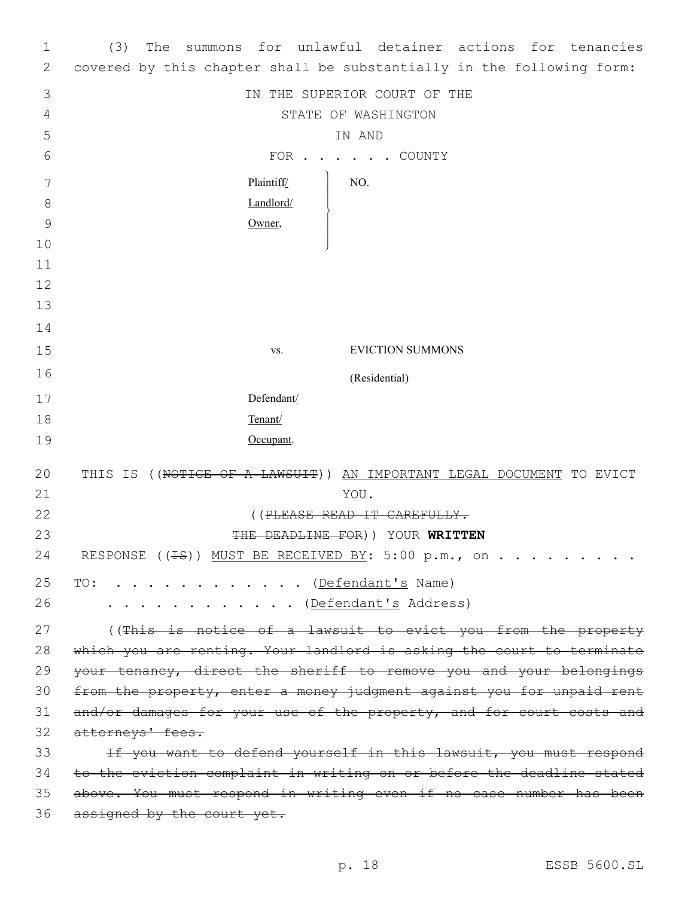| 1             | summons for unlawful detainer actions for tenancies<br>(3)<br>The     |
|---------------|-----------------------------------------------------------------------|
| 2             | covered by this chapter shall be substantially in the following form: |
| 3             | IN THE SUPERIOR COURT OF THE                                          |
| 4             | STATE OF WASHINGTON                                                   |
| 5             | IN AND                                                                |
| 6             | FOR COUNTY                                                            |
| 7             | Plaintiff/<br>NO.                                                     |
| 8             | Landlord/                                                             |
| $\mathcal{G}$ | Owner,                                                                |
| 10            |                                                                       |
| 11            |                                                                       |
| 12            |                                                                       |
| 13            |                                                                       |
| 14            |                                                                       |
| 15            | <b>EVICTION SUMMONS</b><br>VS.                                        |
|               |                                                                       |
| 16            | (Residential)                                                         |
| 17            | Defendant/                                                            |
| 18            | Tenant/                                                               |
| 19            | Occupant.                                                             |
| 20            | THIS IS ((NOTICE OF A LAWSUIT)) AN IMPORTANT LEGAL DOCUMENT TO EVICT  |
| 21            | YOU.                                                                  |
| 22            | ((PLEASE READ IT CAREFULLY.                                           |
| 23            | THE DEADLINE FOR)) YOUR WRITTEN                                       |
| 24            | RESPONSE (( <del>IS</del> )) MUST BE RECEIVED BY: 5:00 p.m., on       |
| 25            |                                                                       |
| 26            | . <u>(Defendant's</u> Name)<br>TO:                                    |
|               | . <u>(Defendant's</u> Address)                                        |
| 27            | ((This is notice of a lawsuit to evict you from the property          |
| 28            | which you are renting. Your landlord is asking the court to terminate |
| 29            | your tenancy, direct the sheriff to remove you and your belongings    |
| 30            | from the property, enter a money judgment against you for unpaid rent |
| 31            | and/or damages for your use of the property, and for court costs and  |
| 32            | attorneys' fees.                                                      |
| 33            | If you want to defend yourself in this lawsuit, you must respond      |
| 34            | to the eviction complaint in writing on or before the deadline stated |
| 35            | above. You must respond in writing even if no case number has been    |
| 36            | assigned by the court yet.                                            |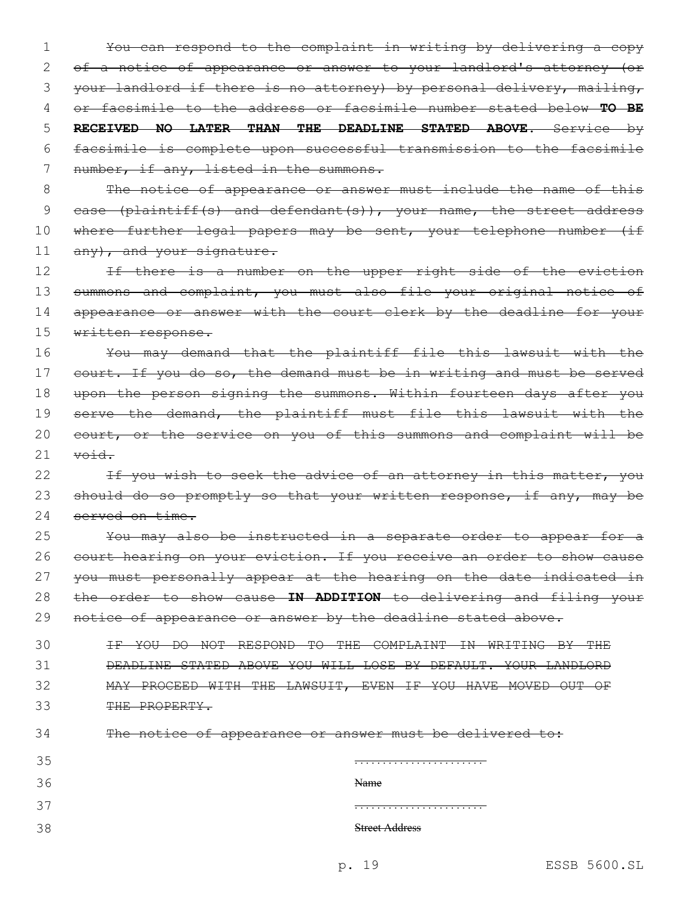1 You can respond to the complaint in writing by delivering a copy 2 of a notice of appearance or answer to your landlord's attorney (or 3 your landlord if there is no attorney) by personal delivery, mailing, 4 or facsimile to the address or facsimile number stated below **TO BE** 5 **RECEIVED NO LATER THAN THE DEADLINE STATED ABOVE**. Service by 6 facsimile is complete upon successful transmission to the facsimile 7 number, if any, listed in the summons. 8 The notice of appearance or answer must include the name of this 9 case (plaintiff(s) and defendant(s)), your name, the street address 10 where further legal papers may be sent, your telephone number (if

11 any), and your signature.

12 If there is a number on the upper right side of the eviction 13 summons and complaint, you must also file your original notice of 14 appearance or answer with the court clerk by the deadline for your 15 written response.

16 You may demand that the plaintiff file this lawsuit with the 17 court. If you do so, the demand must be in writing and must be served 18 upon the person signing the summons. Within fourteen days after you 19 serve the demand, the plaintiff must file this lawsuit with the 20 court, or the service on you of this summons and complaint will be  $21$  void.

22 If you wish to seek the advice of an attorney in this matter, you 23 should do so promptly so that your written response, if any, may be 24 served on time.

25 You may also be instructed in a separate order to appear for a 26 court hearing on your eviction. If you receive an order to show cause 27 you must personally appear at the hearing on the date indicated in 28 the order to show cause **IN ADDITION** to delivering and filing your 29 notice of appearance or answer by the deadline stated above.

 IF YOU DO NOT RESPOND TO THE COMPLAINT IN WRITING BY THE DEADLINE STATED ABOVE YOU WILL LOSE BY DEFAULT. YOUR LANDLORD MAY PROCEED WITH THE LAWSUIT, EVEN IF YOU HAVE MOVED OUT OF 33 THE PROPERTY.

| 34 |  | The notice of appearance or answer must be delivered to: |  |  |  |
|----|--|----------------------------------------------------------|--|--|--|
|    |  |                                                          |  |  |  |

| 35  |                       |
|-----|-----------------------|
| 36  | Name                  |
| 37  |                       |
| ؛ 2 | <b>Street Address</b> |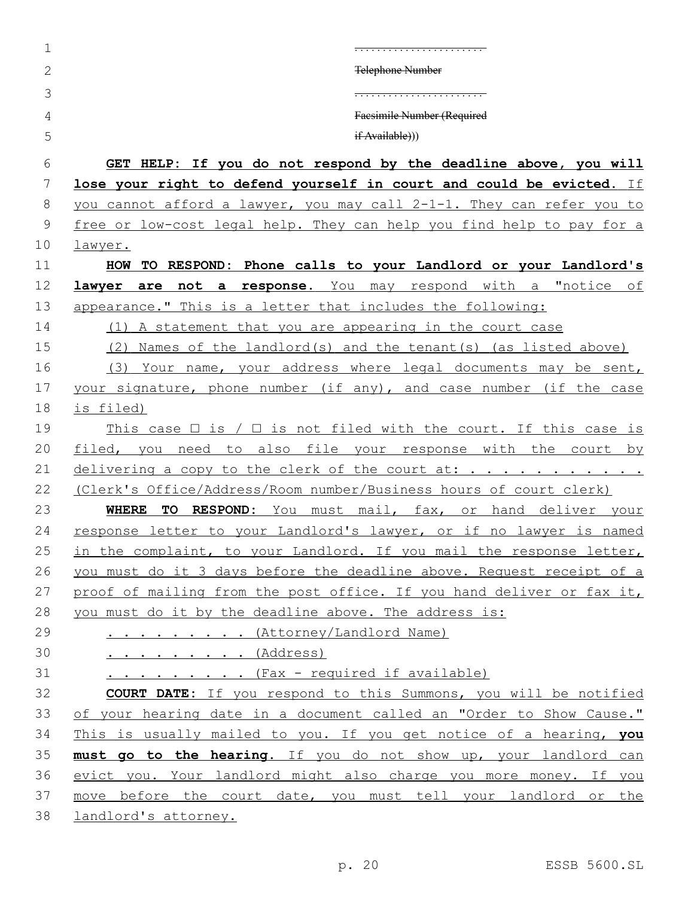| 1              |                                                                                 |
|----------------|---------------------------------------------------------------------------------|
| $\overline{2}$ | <b>Telephone Number</b>                                                         |
| 3              |                                                                                 |
| 4              | Facsimile Number (Required                                                      |
| 5              | if Available))                                                                  |
| 6              | GET HELP: If you do not respond by the deadline above, you will                 |
| 7              | lose your right to defend yourself in court and could be evicted. If            |
| 8              | you cannot afford a lawyer, you may call 2-1-1. They can refer you to           |
| 9              | free or low-cost legal help. They can help you find help to pay for a           |
| 10             | <u>lawyer.</u>                                                                  |
| 11             | HOW TO RESPOND: Phone calls to your Landlord or your Landlord's                 |
| 12             | lawyer are not a response. You may respond with a "notice of                    |
| 13             | appearance." This is a letter that includes the following:                      |
| 14             | (1) A statement that you are appearing in the court case                        |
| 15             | (2) Names of the landlord(s) and the tenant(s) (as listed above)                |
| 16             | (3) Your name, your address where legal documents may be sent,                  |
| 17             | your signature, phone number (if any), and case number (if the case             |
| 18             | is filed)                                                                       |
| 19             | This case $\Box$ is $\land$ $\Box$ is not filed with the court. If this case is |
| 20             | filed, you need to also file your response with the court by                    |
| 21             | delivering a copy to the clerk of the court at:                                 |
| 22             | (Clerk's Office/Address/Room number/Business hours of court clerk)              |
| 23             | <b>WHERE TO RESPOND:</b> You must mail, fax, or hand deliver your               |
| 24             | response letter to your Landlord's lawyer, or if no lawyer is named             |
| 25             | in the complaint, to your Landlord. If you mail the response letter,            |
| 26             | you must do it 3 days before the deadline above. Request receipt of a           |
| 27             | proof of mailing from the post office. If you hand deliver or fax it,           |
| 28             | you must do it by the deadline above. The address is:                           |
| 29             | <u> (Attorney/Landlord Name)</u>                                                |
| 30             | <u></u> (Address)                                                               |
| 31             | (Fax - required if available)                                                   |
| 32             | <b>COURT DATE:</b> If you respond to this Summons, you will be notified         |
| 33             | of your hearing date in a document called an "Order to Show Cause."             |
| 34             | This is usually mailed to you. If you get notice of a hearing, you              |
| 35             | must go to the hearing. If you do not show up, your landlord can                |
| 36             | evict you. Your landlord might also charge you more money. If you               |
| 37             | move before the court date, you must tell your landlord or the                  |
| 38             | landlord's attorney.                                                            |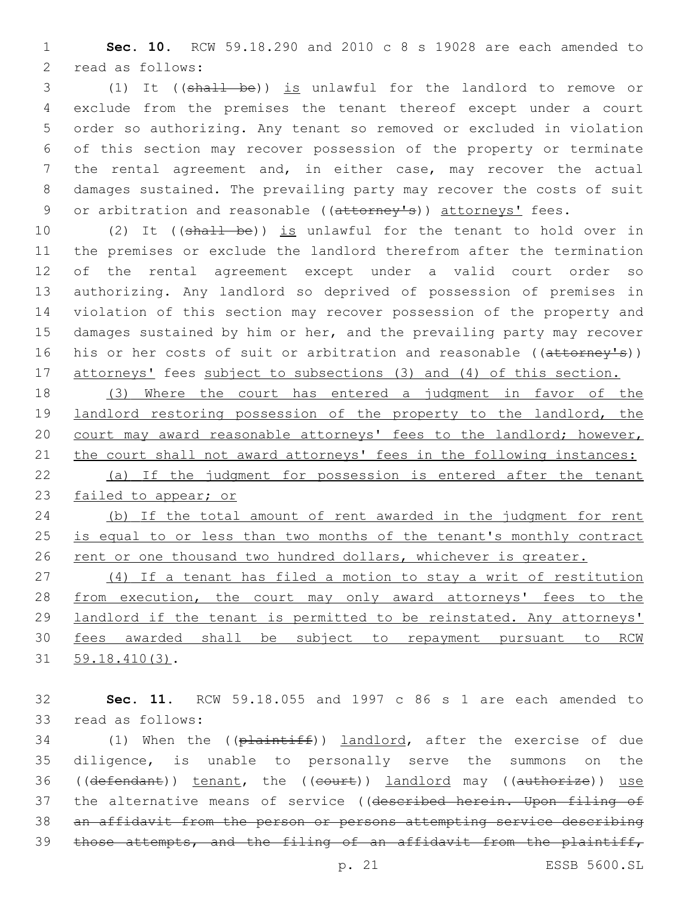**Sec. 10.** RCW 59.18.290 and 2010 c 8 s 19028 are each amended to 2 read as follows:

 (1) It ((shall be)) is unlawful for the landlord to remove or exclude from the premises the tenant thereof except under a court order so authorizing. Any tenant so removed or excluded in violation of this section may recover possession of the property or terminate the rental agreement and, in either case, may recover the actual damages sustained. The prevailing party may recover the costs of suit 9 or arbitration and reasonable ((attorney's)) attorneys' fees.

10 (2) It ((shall be)) is unlawful for the tenant to hold over in the premises or exclude the landlord therefrom after the termination of the rental agreement except under a valid court order so authorizing. Any landlord so deprived of possession of premises in violation of this section may recover possession of the property and damages sustained by him or her, and the prevailing party may recover 16 his or her costs of suit or arbitration and reasonable ((attorney's)) 17 attorneys' fees subject to subsections (3) and (4) of this section.

 (3) Where the court has entered a judgment in favor of the 19 landlord restoring possession of the property to the landlord, the court may award reasonable attorneys' fees to the landlord; however, 21 the court shall not award attorneys' fees in the following instances: (a) If the judgment for possession is entered after the tenant

failed to appear; or

 (b) If the total amount of rent awarded in the judgment for rent 25 is equal to or less than two months of the tenant's monthly contract 26 rent or one thousand two hundred dollars, whichever is greater.

 (4) If a tenant has filed a motion to stay a writ of restitution from execution, the court may only award attorneys' fees to the landlord if the tenant is permitted to be reinstated. Any attorneys' fees awarded shall be subject to repayment pursuant to RCW 31 59.18.410(3).

 **Sec. 11.** RCW 59.18.055 and 1997 c 86 s 1 are each amended to 33 read as follows:

34 (1) When the ((plaintiff)) landlord, after the exercise of due diligence, is unable to personally serve the summons on the 36 ((defendant)) tenant, the ((court)) landlord may ((authorize)) use 37 the alternative means of service ((described herein. Upon filing of an affidavit from the person or persons attempting service describing those attempts, and the filing of an affidavit from the plaintiff,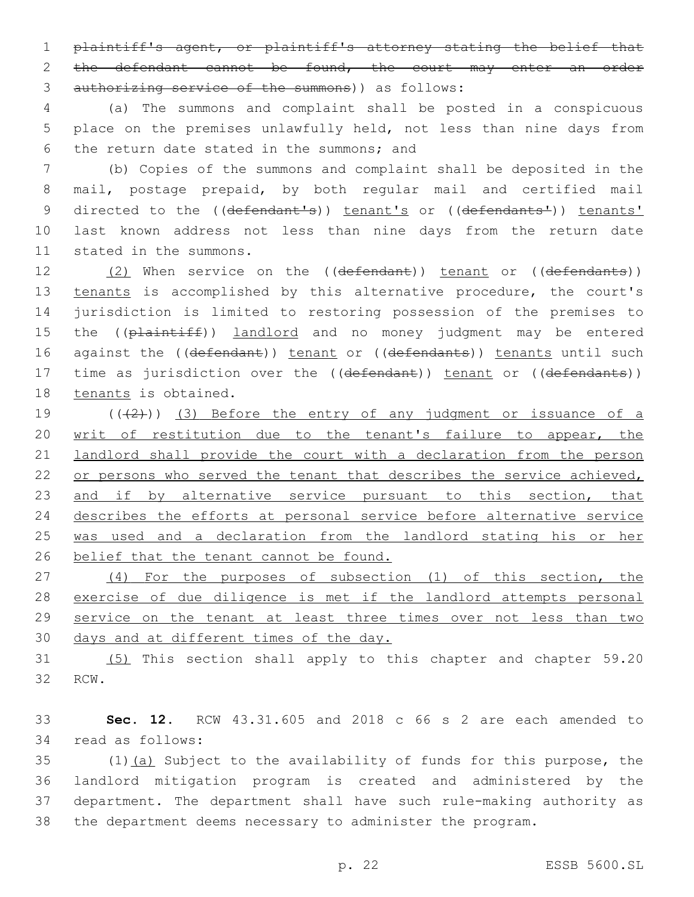1 plaintiff's agent, or plaintiff's attorney stating the belief that 2 the defendant cannot be found, the court may enter an order 3 authorizing service of the summons)) as follows:

4 (a) The summons and complaint shall be posted in a conspicuous 5 place on the premises unlawfully held, not less than nine days from 6 the return date stated in the summons; and

7 (b) Copies of the summons and complaint shall be deposited in the 8 mail, postage prepaid, by both regular mail and certified mail 9 directed to the ((defendant's)) tenant's or ((defendants')) tenants' 10 last known address not less than nine days from the return date 11 stated in the summons.

12 (2) When service on the ((defendant)) tenant or ((defendants)) 13 tenants is accomplished by this alternative procedure, the court's 14 jurisdiction is limited to restoring possession of the premises to 15 the ((plaintiff)) landlord and no money judgment may be entered 16 against the ((defendant)) tenant or ((defendants)) tenants until such 17 time as jurisdiction over the ((defendant)) tenant or ((defendants)) 18 tenants is obtained.

 $((+2+))$  (3) Before the entry of any judgment or issuance of a writ of restitution due to the tenant's failure to appear, the landlord shall provide the court with a declaration from the person 22 or persons who served the tenant that describes the service achieved, 23 and if by alternative service pursuant to this section, that describes the efforts at personal service before alternative service was used and a declaration from the landlord stating his or her 26 belief that the tenant cannot be found.

 (4) For the purposes of subsection (1) of this section, the 28 exercise of due diligence is met if the landlord attempts personal service on the tenant at least three times over not less than two days and at different times of the day.

31 (5) This section shall apply to this chapter and chapter 59.20 32 RCW.

33 **Sec. 12.** RCW 43.31.605 and 2018 c 66 s 2 are each amended to 34 read as follows:

 (1)(a) Subject to the availability of funds for this purpose, the landlord mitigation program is created and administered by the department. The department shall have such rule-making authority as the department deems necessary to administer the program.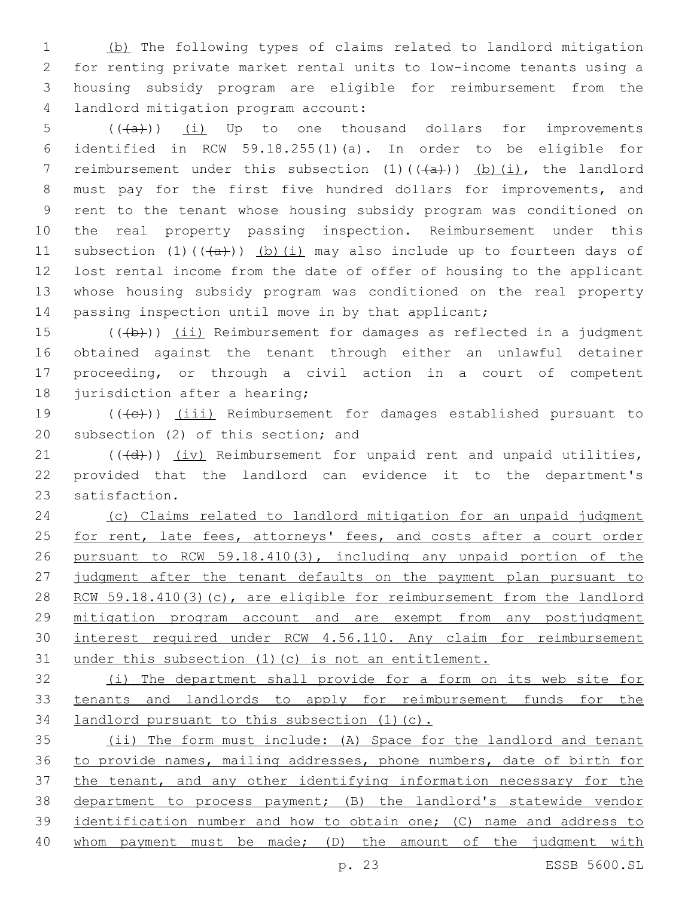(b) The following types of claims related to landlord mitigation for renting private market rental units to low-income tenants using a housing subsidy program are eligible for reimbursement from the 4 landlord mitigation program account:

 (( $\overline{a}$ )) (i) Up to one thousand dollars for improvements identified in RCW 59.18.255(1)(a). In order to be eligible for 7 reimbursement under this subsection  $(1)$   $((+a))$  (b) $(i)$ , the landlord must pay for the first five hundred dollars for improvements, and rent to the tenant whose housing subsidy program was conditioned on the real property passing inspection. Reimbursement under this 11 subsection (1)( $(\overline{a})$ ) (b)(i) may also include up to fourteen days of lost rental income from the date of offer of housing to the applicant whose housing subsidy program was conditioned on the real property 14 passing inspection until move in by that applicant;

 (( $\left(\frac{1}{10}\right)$ ) (ii) Reimbursement for damages as reflected in a judgment obtained against the tenant through either an unlawful detainer proceeding, or through a civil action in a court of competent 18 jurisdiction after a hearing;

19 (((e)) (iii) Reimbursement for damages established pursuant to 20 subsection (2) of this section; and

 $(1)$  (( $\overline{(d)}}$ )) (iv) Reimbursement for unpaid rent and unpaid utilities, provided that the landlord can evidence it to the department's 23 satisfaction.

 (c) Claims related to landlord mitigation for an unpaid judgment 25 for rent, late fees, attorneys' fees, and costs after a court order pursuant to RCW 59.18.410(3), including any unpaid portion of the 27 judgment after the tenant defaults on the payment plan pursuant to 28 RCW 59.18.410(3)(c), are eligible for reimbursement from the landlord mitigation program account and are exempt from any postjudgment interest required under RCW 4.56.110. Any claim for reimbursement under this subsection (1)(c) is not an entitlement.

 (i) The department shall provide for a form on its web site for tenants and landlords to apply for reimbursement funds for the landlord pursuant to this subsection (1)(c).

 (ii) The form must include: (A) Space for the landlord and tenant to provide names, mailing addresses, phone numbers, date of birth for the tenant, and any other identifying information necessary for the department to process payment; (B) the landlord's statewide vendor identification number and how to obtain one; (C) name and address to whom payment must be made; (D) the amount of the judgment with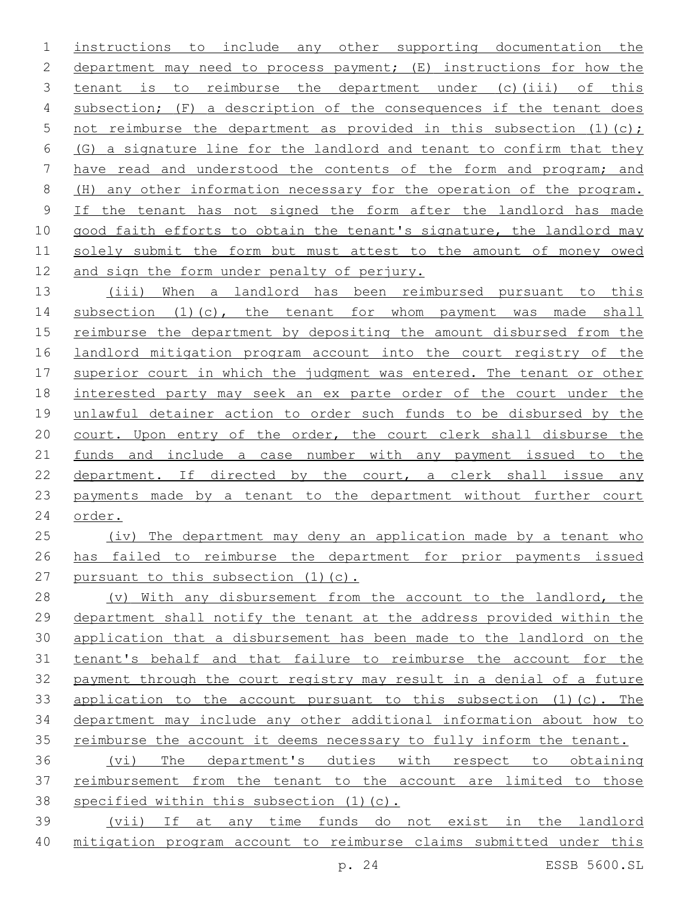instructions to include any other supporting documentation the 2 department may need to process payment; (E) instructions for how the tenant is to reimburse the department under (c)(iii) of this subsection; (F) a description of the consequences if the tenant does 5 not reimburse the department as provided in this subsection  $(1)(c)$ ; (G) a signature line for the landlord and tenant to confirm that they have read and understood the contents of the form and program; and (H) any other information necessary for the operation of the program. 9 If the tenant has not signed the form after the landlord has made good faith efforts to obtain the tenant's signature, the landlord may solely submit the form but must attest to the amount of money owed 12 and sign the form under penalty of perjury.

 (iii) When a landlord has been reimbursed pursuant to this 14 subsection (1)(c), the tenant for whom payment was made shall reimburse the department by depositing the amount disbursed from the landlord mitigation program account into the court registry of the superior court in which the judgment was entered. The tenant or other interested party may seek an ex parte order of the court under the unlawful detainer action to order such funds to be disbursed by the court. Upon entry of the order, the court clerk shall disburse the 21 funds and include a case number with any payment issued to the 22 department. If directed by the court, a clerk shall issue any payments made by a tenant to the department without further court order.

25 (iv) The department may deny an application made by a tenant who has failed to reimburse the department for prior payments issued 27 pursuant to this subsection (1)(c).

28 (v) With any disbursement from the account to the landlord, the department shall notify the tenant at the address provided within the application that a disbursement has been made to the landlord on the tenant's behalf and that failure to reimburse the account for the payment through the court registry may result in a denial of a future application to the account pursuant to this subsection (1)(c). The department may include any other additional information about how to 35 reimburse the account it deems necessary to fully inform the tenant.

 (vi) The department's duties with respect to obtaining reimbursement from the tenant to the account are limited to those specified within this subsection (1)(c).

 (vii) If at any time funds do not exist in the landlord mitigation program account to reimburse claims submitted under this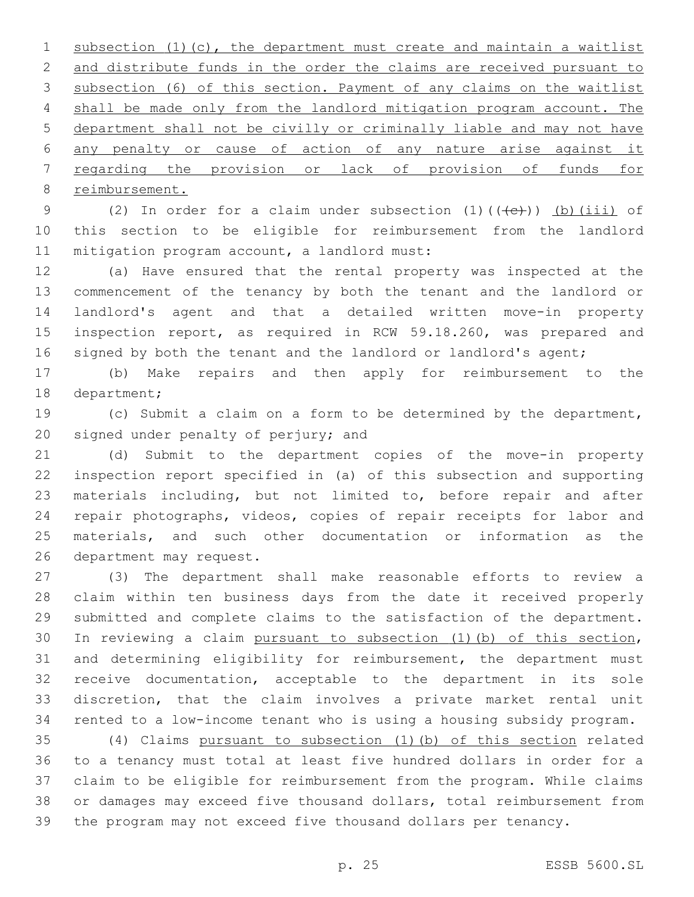subsection (1)(c), the department must create and maintain a waitlist and distribute funds in the order the claims are received pursuant to subsection (6) of this section. Payment of any claims on the waitlist 4 shall be made only from the landlord mitigation program account. The department shall not be civilly or criminally liable and may not have any penalty or cause of action of any nature arise against it regarding the provision or lack of provision of funds for 8 reimbursement.

9 (2) In order for a claim under subsection  $(1)$   $((+e))$   $(b)$   $(iii)$  of this section to be eligible for reimbursement from the landlord 11 mitigation program account, a landlord must:

 (a) Have ensured that the rental property was inspected at the commencement of the tenancy by both the tenant and the landlord or landlord's agent and that a detailed written move-in property inspection report, as required in RCW 59.18.260, was prepared and 16 signed by both the tenant and the landlord or landlord's agent;

 (b) Make repairs and then apply for reimbursement to the 18 department;

 (c) Submit a claim on a form to be determined by the department, 20 signed under penalty of perjury; and

 (d) Submit to the department copies of the move-in property inspection report specified in (a) of this subsection and supporting materials including, but not limited to, before repair and after repair photographs, videos, copies of repair receipts for labor and materials, and such other documentation or information as the 26 department may request.

 (3) The department shall make reasonable efforts to review a claim within ten business days from the date it received properly submitted and complete claims to the satisfaction of the department. In reviewing a claim pursuant to subsection (1)(b) of this section, and determining eligibility for reimbursement, the department must receive documentation, acceptable to the department in its sole discretion, that the claim involves a private market rental unit rented to a low-income tenant who is using a housing subsidy program.

 (4) Claims pursuant to subsection (1)(b) of this section related to a tenancy must total at least five hundred dollars in order for a claim to be eligible for reimbursement from the program. While claims or damages may exceed five thousand dollars, total reimbursement from the program may not exceed five thousand dollars per tenancy.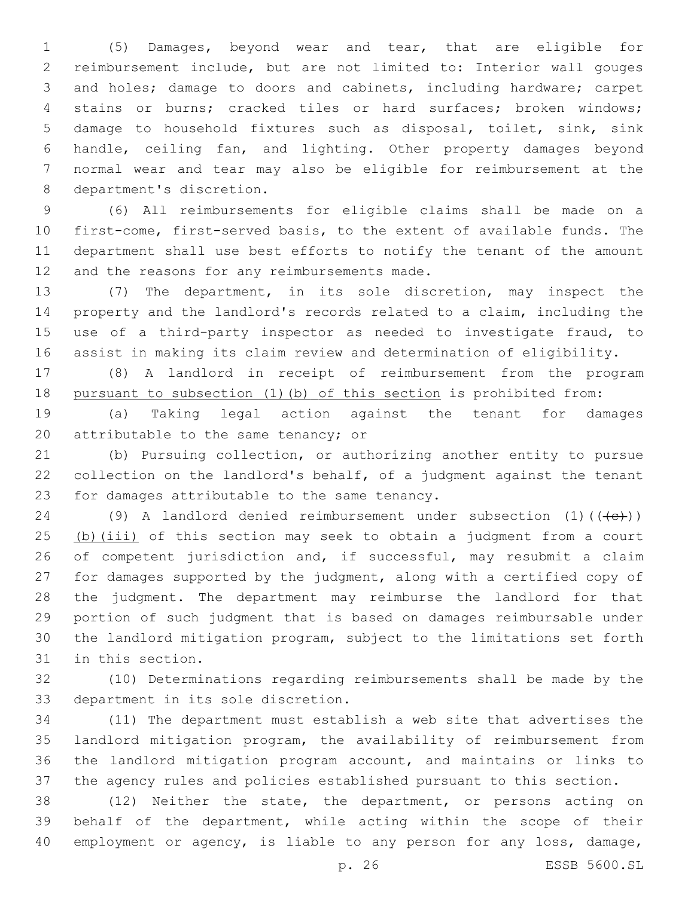(5) Damages, beyond wear and tear, that are eligible for reimbursement include, but are not limited to: Interior wall gouges and holes; damage to doors and cabinets, including hardware; carpet stains or burns; cracked tiles or hard surfaces; broken windows; damage to household fixtures such as disposal, toilet, sink, sink handle, ceiling fan, and lighting. Other property damages beyond normal wear and tear may also be eligible for reimbursement at the 8 department's discretion.

 (6) All reimbursements for eligible claims shall be made on a first-come, first-served basis, to the extent of available funds. The department shall use best efforts to notify the tenant of the amount 12 and the reasons for any reimbursements made.

 (7) The department, in its sole discretion, may inspect the property and the landlord's records related to a claim, including the use of a third-party inspector as needed to investigate fraud, to assist in making its claim review and determination of eligibility.

 (8) A landlord in receipt of reimbursement from the program pursuant to subsection (1)(b) of this section is prohibited from:

 (a) Taking legal action against the tenant for damages 20 attributable to the same tenancy; or

 (b) Pursuing collection, or authorizing another entity to pursue collection on the landlord's behalf, of a judgment against the tenant 23 for damages attributable to the same tenancy.

24 (9) A landlord denied reimbursement under subsection  $(1)$  ( $(\leftarrow\leftarrow\leftarrow)$ ) 25 (b)(iii) of this section may seek to obtain a judgment from a court 26 of competent jurisdiction and, if successful, may resubmit a claim for damages supported by the judgment, along with a certified copy of the judgment. The department may reimburse the landlord for that portion of such judgment that is based on damages reimbursable under the landlord mitigation program, subject to the limitations set forth 31 in this section.

 (10) Determinations regarding reimbursements shall be made by the 33 department in its sole discretion.

 (11) The department must establish a web site that advertises the landlord mitigation program, the availability of reimbursement from the landlord mitigation program account, and maintains or links to the agency rules and policies established pursuant to this section.

 (12) Neither the state, the department, or persons acting on behalf of the department, while acting within the scope of their 40 employment or agency, is liable to any person for any loss, damage,

p. 26 ESSB 5600.SL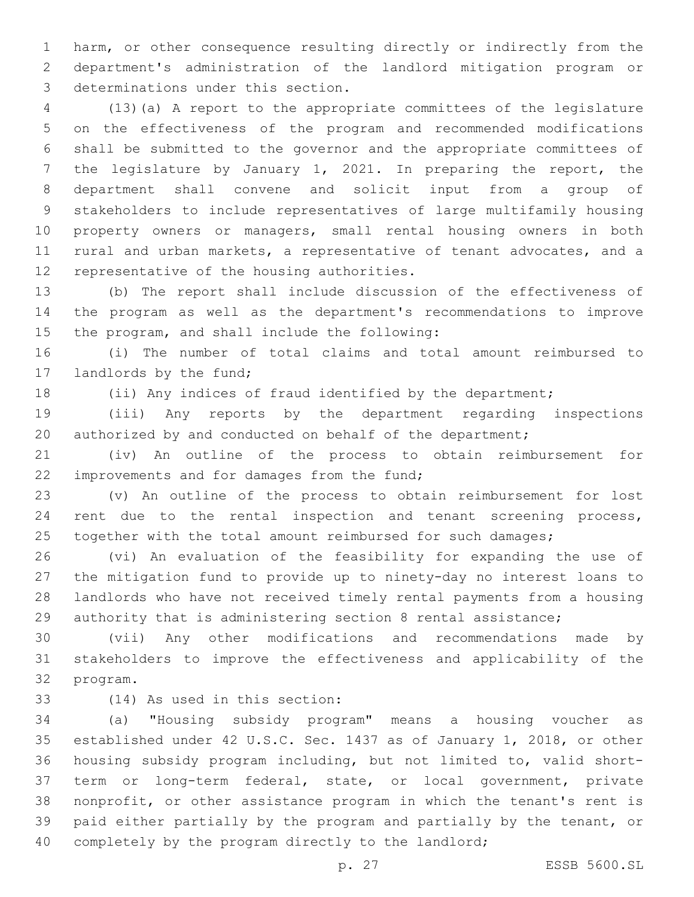harm, or other consequence resulting directly or indirectly from the department's administration of the landlord mitigation program or 3 determinations under this section.

 (13)(a) A report to the appropriate committees of the legislature on the effectiveness of the program and recommended modifications shall be submitted to the governor and the appropriate committees of the legislature by January 1, 2021. In preparing the report, the department shall convene and solicit input from a group of stakeholders to include representatives of large multifamily housing property owners or managers, small rental housing owners in both rural and urban markets, a representative of tenant advocates, and a 12 representative of the housing authorities.

 (b) The report shall include discussion of the effectiveness of the program as well as the department's recommendations to improve 15 the program, and shall include the following:

 (i) The number of total claims and total amount reimbursed to 17 landlords by the fund;

(ii) Any indices of fraud identified by the department;

 (iii) Any reports by the department regarding inspections 20 authorized by and conducted on behalf of the department;

 (iv) An outline of the process to obtain reimbursement for 22 improvements and for damages from the fund;

 (v) An outline of the process to obtain reimbursement for lost 24 rent due to the rental inspection and tenant screening process, 25 together with the total amount reimbursed for such damages;

 (vi) An evaluation of the feasibility for expanding the use of the mitigation fund to provide up to ninety-day no interest loans to landlords who have not received timely rental payments from a housing authority that is administering section 8 rental assistance;

 (vii) Any other modifications and recommendations made by stakeholders to improve the effectiveness and applicability of the 32 program.

(14) As used in this section:33

 (a) "Housing subsidy program" means a housing voucher as established under 42 U.S.C. Sec. 1437 as of January 1, 2018, or other housing subsidy program including, but not limited to, valid short- term or long-term federal, state, or local government, private nonprofit, or other assistance program in which the tenant's rent is paid either partially by the program and partially by the tenant, or 40 completely by the program directly to the landlord;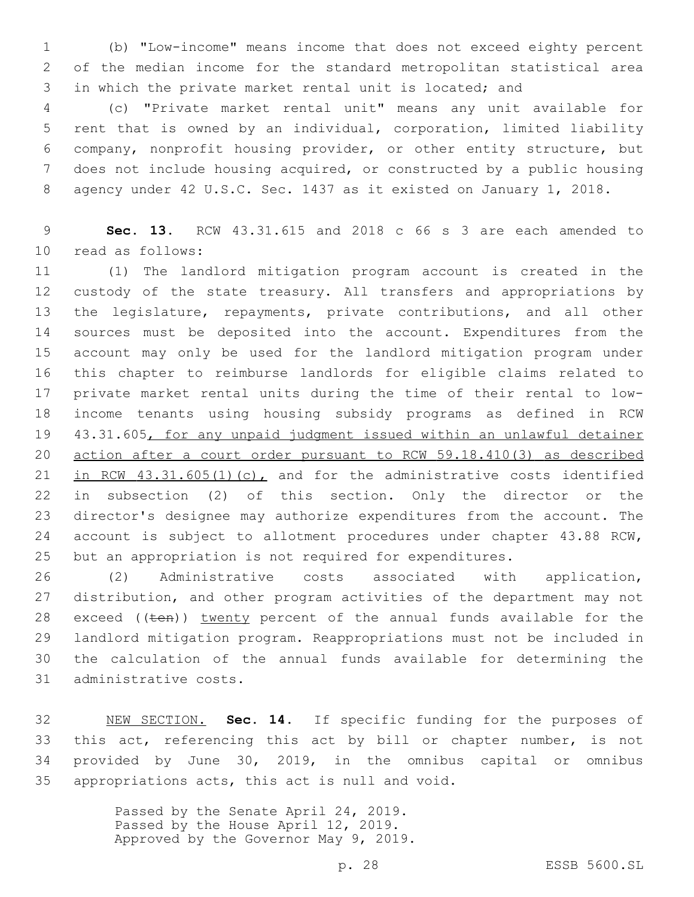(b) "Low-income" means income that does not exceed eighty percent of the median income for the standard metropolitan statistical area in which the private market rental unit is located; and

 (c) "Private market rental unit" means any unit available for rent that is owned by an individual, corporation, limited liability company, nonprofit housing provider, or other entity structure, but does not include housing acquired, or constructed by a public housing agency under 42 U.S.C. Sec. 1437 as it existed on January 1, 2018.

 **Sec. 13.** RCW 43.31.615 and 2018 c 66 s 3 are each amended to 10 read as follows:

 (1) The landlord mitigation program account is created in the custody of the state treasury. All transfers and appropriations by the legislature, repayments, private contributions, and all other sources must be deposited into the account. Expenditures from the account may only be used for the landlord mitigation program under this chapter to reimburse landlords for eligible claims related to private market rental units during the time of their rental to low- income tenants using housing subsidy programs as defined in RCW 43.31.605, for any unpaid judgment issued within an unlawful detainer action after a court order pursuant to RCW 59.18.410(3) as described in RCW 43.31.605(1)(c), and for the administrative costs identified in subsection (2) of this section. Only the director or the director's designee may authorize expenditures from the account. The account is subject to allotment procedures under chapter 43.88 RCW, but an appropriation is not required for expenditures.

 (2) Administrative costs associated with application, distribution, and other program activities of the department may not 28 exceed ((ten)) twenty percent of the annual funds available for the landlord mitigation program. Reappropriations must not be included in the calculation of the annual funds available for determining the 31 administrative costs.

 NEW SECTION. **Sec. 14.** If specific funding for the purposes of this act, referencing this act by bill or chapter number, is not provided by June 30, 2019, in the omnibus capital or omnibus appropriations acts, this act is null and void.

> Passed by the Senate April 24, 2019. Passed by the House April 12, 2019. Approved by the Governor May 9, 2019.